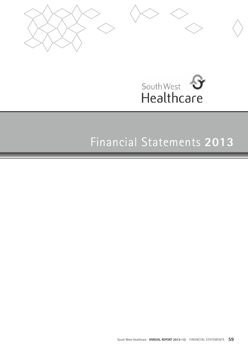



# Financial Statements **2013**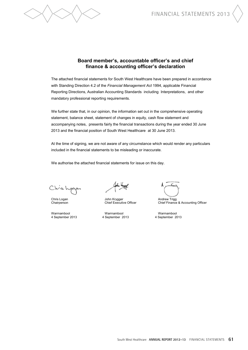

# **Board member's, accountable officer's and chief finance & accounting officer's declaration**

The attached financial statements for South West Healthcare have been prepared in accordance with Standing Direction 4.2 of the *Financial Management Act* 1994, applicable Financial Reporting Directions, Australian Accounting Standards including Interpretations, and other mandatory professional reporting requirements.

We further state that, in our opinion, the information set out in the comprehensive operating statement, balance sheet, statement of changes in equity, cash flow statement and accompanying notes, presents fairly the financial transactions during the year ended 30 June 2013 and the financial position of South West Healthcare at 30 June 2013.

At the time of signing, we are not aware of any circumstance which would render any particulars included in the financial statements to be misleading or inaccurate.

We authorise the attached financial statements for issue on this day.

Chris hop

Chris Logan John Krygger Andrew Trigg

4 September 2013 4 September 2013 4 September 2013

Chief Finance & Accounting Officer

Warrnambool Warrnambool Warrnambool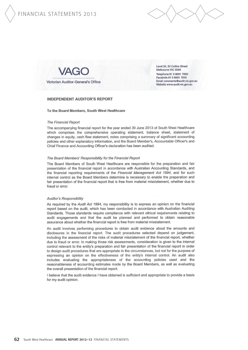

Victorian Auditor-General's Office

Level 24, 35 Collins Street Melbourne VIC 3000 Telephone 61 3 8601 7000 Facsimile 61 3 8601 7010 Email comments@audit.vic.gov.au Website www.audit.vic.gov.au

#### **INDEPENDENT AUDITOR'S REPORT**

#### To the Board Members, South West Healthcare

#### **The Financial Report**

The accompanying financial report for the year ended 30 June 2013 of South West Healthcare which comprises the comprehensive operating statement, balance sheet, statement of changes in equity, cash flow statement, notes comprising a summary of significant accounting policies and other explanatory information, and the Board Member's, Accountable Officer's and Chief Finance and Accounting Officer's declaration has been audited.

#### The Board Members' Responsibility for the Financial Report

The Board Members of South West Healthcare are responsible for the preparation and fair presentation of the financial report in accordance with Australian Accounting Standards, and the financial reporting requirements of the Financial Management Act 1994, and for such internal control as the Board Members determine is necessary to enable the preparation and fair presentation of the financial report that is free from material misstatement, whether due to fraud or error.

#### Auditor's Responsibility

As required by the Audit Act 1994, my responsibility is to express an opinion on the financial report based on the audit, which has been conducted in accordance with Australian Auditing Standards. Those standards require compliance with relevant ethical requirements relating to audit engagements and that the audit be planned and performed to obtain reasonable assurance about whether the financial report is free from material misstatement.

An audit involves performing procedures to obtain audit evidence about the amounts and disclosures in the financial report. The audit procedures selected depend on judgement, including the assessment of the risks of material misstatement of the financial report, whether due to fraud or error. In making those risk assessments, consideration is given to the internal control relevant to the entity's preparation and fair presentation of the financial report in order to design audit procedures that are appropriate in the circumstances, but not for the purpose of expressing an opinion on the effectiveness of the entity's internal control. An audit also includes evaluating the appropriateness of the accounting policies used and the reasonableness of accounting estimates made by the Board Members, as well as evaluating the overall presentation of the financial report.

I believe that the audit evidence I have obtained is sufficient and appropriate to provide a basis for my audit opinion.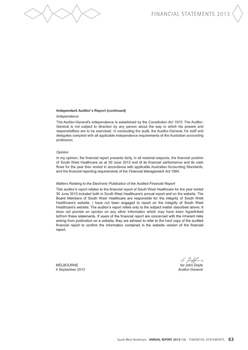

#### Independent Auditor's Report (continued)

#### Independence

The Auditor-General's independence is established by the Constitution Act 1975. The Auditor-General is not subject to direction by any person about the way in which his powers and responsibilities are to be exercised. In conducting the audit, the Auditor-General, his staff and delegates complied with all applicable independence requirements of the Australian accounting profession.

#### Opinion

In my opinion, the financial report presents fairly, in all material respects, the financial position of South West Healthcare as at 30 June 2013 and of its financial performance and its cash flows for the year then ended in accordance with applicable Australian Accounting Standards, and the financial reporting requirements of the Financial Management Act 1994.

#### Matters Relating to the Electronic Publication of the Audited Financial Report

This auditor's report relates to the financial report of South West Healthcare for the year ended 30 June 2013 included both in South West Healthcare's annual report and on the website. The Board Members of South West Healthcare are responsible for the integrity of South West Healthcare's website. I have not been engaged to report on the integrity of South West Healthcare's website. The auditor's report refers only to the subject matter described above. It does not provide an opinion on any other information which may have been hyperlinked to/from these statements. If users of the financial report are concerned with the inherent risks arising from publication on a website, they are advised to refer to the hard copy of the audited financial report to confirm the information contained in the website version of the financial report.

**MELBOURNE** 4 September 2013

L-felling Auditor-General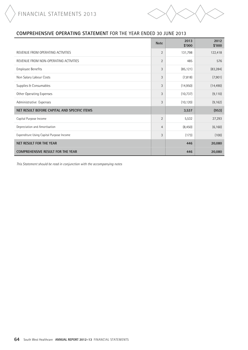

# **COMPREHENSIVE OPERATING STATEMENT** For the year ended 30 June 2013

|                                              | <b>Note</b>    | 2013<br>\$'000 | 2012<br>\$'000 |
|----------------------------------------------|----------------|----------------|----------------|
| REVENUE FROM OPERATING ACTIVITIES            | $\overline{2}$ | 131,798        | 122,418        |
| REVENUE FROM NON-OPERATING ACTIVITIES        | $\overline{2}$ | 485            | 576            |
| <b>Employee Benefits</b>                     | 3              | (85, 121)      | (83, 284)      |
| Non Salary Labour Costs                      | 3              | (7, 818)       | (7,901)        |
| Supplies & Consumables                       | 3              | (14,950)       | (14, 490)      |
| Other Operating Expenses                     | 3              | (10, 737)      | (9, 110)       |
| Administrative Expenses                      | 3              | (10, 120)      | (9, 162)       |
| NET RESULT BEFORE CAPITAL AND SPECIFIC ITEMS |                | 3,537          | (953)          |
| Capital Purpose Income                       | $\overline{2}$ | 5,532          | 27,293         |
| Depreciation and Amortisation                | $\overline{4}$ | (8, 450)       | (6, 160)       |
| Expenditure Using Capital Purpose Income     | 3              | (173)          | (100)          |
| NET RESULT FOR THE YEAR                      |                | 446            | 20,080         |
| <b>COMPREHENSIVE RESULT FOR THE YEAR</b>     |                | 446            | 20,080         |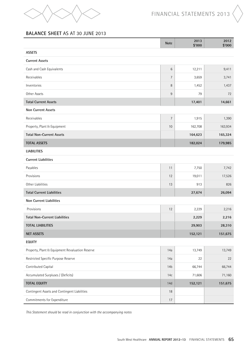

# **BALANCE SHEET** AS AT 30 June 2013

|                                                 | <b>Note</b>     | 2013<br>\$'000 | 2012<br>\$'000 |
|-------------------------------------------------|-----------------|----------------|----------------|
| <b>ASSETS</b>                                   |                 |                |                |
| <b>Current Assets</b>                           |                 |                |                |
| Cash and Cash Equivalents                       | $6\phantom{1}$  | 12,211         | 9,411          |
| Receivables                                     | 7               | 3,659          | 3,741          |
| Inventories                                     | 8               | 1,452          | 1,437          |
| Other Assets                                    | 9               | 79             | 72             |
| <b>Total Current Assets</b>                     |                 | 17,401         | 14,661         |
| <b>Non Current Assets</b>                       |                 |                |                |
| Receivables                                     | $\overline{7}$  | 1,915          | 1,390          |
| Property, Plant & Equipment                     | 10              | 162,708        | 163,934        |
| <b>Total Non-Current Assets</b>                 |                 | 164,623        | 165,324        |
| <b>TOTAL ASSETS</b>                             |                 | 182,024        | 179,985        |
| <b>LIABILITIES</b>                              |                 |                |                |
| <b>Current Liabilities</b>                      |                 |                |                |
| Payables                                        | 11              | 7,750          | 7,742          |
| Provisions                                      | 12              | 19,011         | 17,526         |
| Other Liabilities                               | 13              | 913            | 826            |
| <b>Total Current Liabilities</b>                |                 | 27,674         | 26,094         |
| Non Current Liabilities                         |                 |                |                |
| Provisions                                      | 12              | 2,229          | 2,216          |
| <b>Total Non-Current Liabilities</b>            |                 | 2,229          | 2,216          |
| <b>TOTAL LIABILITIES</b>                        |                 | 29,903         | 28,310         |
| <b>NET ASSETS</b>                               |                 | 152,121        | 151,675        |
| <b>EQUITY</b>                                   |                 |                |                |
| Property, Plant & Equipment Revaluation Reserve | 14a             | 13,749         | 13,749         |
| Restricted Specific Purpose Reserve             | 14a             | 22             | 22             |
| Contributed Capital                             | 14 <sub>b</sub> | 66,744         | 66,744         |
| Accumulated Surpluses / (Deficits)              | 14c             | 71,606         | 71,160         |
| <b>TOTAL EQUITY</b>                             | 14d             | 152,121        | 151,675        |
| Contingent Assets and Contingent Liabilities    | 18              |                |                |
| Commitments for Expenditure                     | 17              |                |                |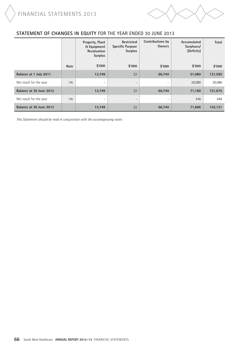

# **statement of changes in equity** For the year ended 30 June 2013

|                         |             | Property, Plant<br><b>&amp; Equipment</b><br>Revaluation<br><b>Surplus</b> | <b>Restricted</b><br><b>Specific Purpose</b><br><b>Surplus</b> | Contributions by<br>Owners | Accumulated<br>Surpluses/<br>(Deficits) | <b>Total</b> |
|-------------------------|-------------|----------------------------------------------------------------------------|----------------------------------------------------------------|----------------------------|-----------------------------------------|--------------|
|                         | <b>Note</b> | \$'000                                                                     | \$'000                                                         | \$'000                     | \$'000                                  | \$'000       |
| Balance at 1 July 2011  |             | 13,749                                                                     | 22                                                             | 66,744                     | 51,080                                  | 131,595      |
| Net result for the year | 14c         | $\overline{\phantom{a}}$                                                   | $\overline{\phantom{a}}$                                       | $\equiv$                   | 20,080                                  | 20,080       |
| Balance at 30 June 2012 |             | 13,749                                                                     | 22                                                             | 66,744                     | 71,160                                  | 151,675      |
| Net result for the year | 14c         | $\overline{\phantom{0}}$                                                   | $\overline{\phantom{0}}$                                       | -                          | 446                                     | 446          |
| Balance at 30 June 2013 |             | 13,749                                                                     | 22                                                             | 66,744                     | 71,606                                  | 152,121      |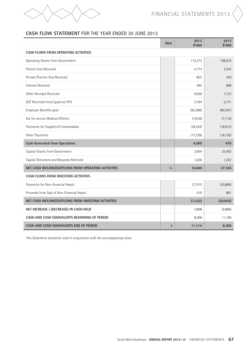

# **CASH FLOW STATEMENT** FOR THE YEAR ENDED 30 June 2013

|                                                     | <b>Note</b> | 2013<br>\$'000 | 2012<br>\$'000 |
|-----------------------------------------------------|-------------|----------------|----------------|
| CASH FLOWS FROM OPERATING ACTIVITIES                |             |                |                |
| Operating Grants from Government                    |             | 112,273        | 108,076        |
| Patient Fees Received                               |             | 4,774          | 3,342          |
| Private Practice Fees Received                      |             | 825            | 420            |
| <b>Interest Received</b>                            |             | 495            | 688            |
| Other Receipts Received                             |             | 9,029          | 7,725          |
| GST Received from/ (paid to) ATO                    |             | 3,784          | 5,731          |
| Employee Benefits paid                              |             | (83, 289)      | (80, 267)      |
| Fee for service Medical Officers                    |             | (7, 818)       | (7,710)        |
| Payments for Supplies & Consumables                 |             | (18, 334)      | (18, 815)      |
| Other Payments                                      |             | (17, 239)      | (18, 720)      |
| <b>Cash Generated from Operations</b>               |             | 4,500          | 470            |
| Capital Grants from Government                      |             | 3,904          | 25,493         |
| Capital Donations and Bequests Received             |             | 1,636          | 1,202          |
| NET CASH INFLOW/(OUTFLOW) FROM OPERATING ACTIVITIES | 15          | 10,040         | 27,165         |
| CASH FLOWS FROM INVESTING ACTIVITIES                |             |                |                |
| Payments for Non-Financial Assets                   |             | (7, 751)       | (30, 886)      |
| Proceeds from Sale of Non-Financial Assets          |             | 519            | 861            |
| NET CASH INFLOW/(OUTFLOW) FROM INVESTING ACTIVITIES |             | (7, 232)       | (30,025)       |
| NET INCREASE / (DECREASE) IN CASH HELD              |             | 2,808          | (2,860)        |
| CASH AND CASH EQUIVALENTS BEGINNING OF PERIOD       |             | 8,306          | 11,166         |
| CASH AND CASH EQUIVALENTS END OF PERIOD             | 6           | 11,114         | 8,306          |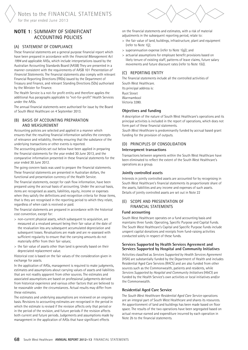# **Note 1**: Summary of Significant Accounting Policies

#### (a) Statement of compliance

These financial statements are a general purpose financial report which have been prepared in accordance with the *Financial Management Act 1994* and applicable AASs, which include interpretations issued by the Australian Accounting Standards Board (AASB) They are presented in a manner consistent with the requirements of AASB 101 *Presentation of Financial Statements*. The financial statements also comply with relevant Financial Reporting Directions (FRDs) issued by the Department of Treasury and Finance, and relevant Standing Directions (SDs) authorised by the Minister for Finance.

The Health Service is a not-for profit entity and therefore applies the additional Aus paragraphs applicable to "not-for-profit" Health Services under the AASs.

The annual financial statements were authorised for issue by the Board of South West Healthcare on 4 September 2013.

#### (b) Basis of accounting preparation and measurement

Accounting policies are selected and applied in a manner which ensures that the resulting financial information satisfies the concepts of relevance and reliability, thereby ensuring that the substance of the underlying transactions or other events is reported.

The accounting policies set out below have been applied in preparing the financial statements for the year ended 30 June 2013, and the comparative information presented in these financial statements for the year ended 30 June 2012.

The going concern basis was used to prepare the financial statements. These financial statements are presented in Australian dollars, the functional and presentation currency of the Health Service.

The financial statements, except for cash flow information, have been prepared using the accrual basis of accounting. Under the accrual basis, items are recognised as assets, liabilities, equity, income or expenses when they satisfy the definitions and recognition criteria for those items, that is they are recognised in the reporting period to which they relate, regardless of when cash is received or paid.

The financial statements are prepared in accordance with the historical cost convention, except for:

- > non-current physical assets, which subsequent to acquisition, are measured at a revalued amount being their fair value at the date of the revaluation less any subsequent accumulated depreciation and subsequent losses. Revaluations are made and are re-assessed with sufficient regularity to ensure that the carrying amounts do not materially differ from their fair values;
- > the fair value of assets other than land is generally based on their depreciated replacement value.

Historical cost is based on the fair values of the consideration given in exchange for assets.

In the application of AASs, management is required to make judgments, estimates and assumptions about carrying values of assets and liabilities that are not readily apparent from other sources. The estimates and associated assumptions are based on professional judgements derived from historical experience and various other factors that are believed to be reasonable under the circumstances. Actual results may differ from these estimates.

The estimates and underlying assumptions are reviewed on an ongoing basis. Revisions to accounting estimates are recognised in the period in which the estimate is revised if the revision affects only that period or in the period of the revision, and future periods if the revision affects both current and future periods. Judgements and assumptions made by management in the application of AASs that have significant effects



on the financial statements and estimates, with a risk of material adjustments in the subsequent reporting period, relate to:

- > the fair value of land, buildings, infrastructure, plant and equipment (refer to Note 1(j);
- > superannuation expense (refer to Note 1(g)); and
- > actuarial assumptions for employee benefit provisions based on likely tenure of existing staff, patterns of leave claims, future salary movements and future discount rates (refer to Note 1(k)).

# (c) Reporting Entity

The financial statements include all the controlled activities of South West Healthcare.

Its principal address is: Ryot Street Warrnambool

Victoria 3280.

#### **Objectives and funding**

A description of the nature of South West Healthcare's operations and its principal activities is included in the report of operations, which does not form part of these financial statements.

*South West Healthcare* is predominantly funded by accrual based grant funding for the provision of outputs.

# (d) Principles of Consolidation

#### **Intersegment transactions**

Transactions between segments within the South West Healthcare have been eliminated to reflect the extent of the South West Healthcare's operations as a group.

#### **Jointly controlled assets**

Interests in jointly controlled assets are accounted for by recognising in South West Healthcare's financial statements its proportionate share of the assets, liabilities and any income and expenses of such assets. Details of jointly controlled assets are set out in Note 22

#### (e) Scope and presentation of financial statements

#### **Fund accounting**

South West Healthcare operates on a fund accounting basis and maintains three funds: Operating, Specific Purpose and Capital Funds. The South West Healthcare's Capital and Specific Purpose Funds include unspent capital donations and receipts from fund-raising activities conducted solely in respect of these funds.

#### **Services Supported by Health Services Agreement and Services Supported by Hospital and Community Initiatives**

Activities classified as *Services Supported by Health Services Agreement*  (HSA) are substantially funded by the Department of Health and includes Residential Aged Care Services (RACS) and are also funded from other sources such as the Commonwealth, patients and residents, while *Services Supported by Hospital and Community Initiatives* (H&CI) are funded by the Health Service's own activities or local initiatives and/or the Commonwealth.

#### **Residential Aged Care Service**

The *South West Healthcare Residential Aged Care Service* operations are an integral part of South West Healthcare and shares its resources. An apportionment of land and buildings has been made based on floor space. The results of the two operations have been segregated based on actual revenue earned and expenditure incurred by each operation in Note 2b to the financial statements.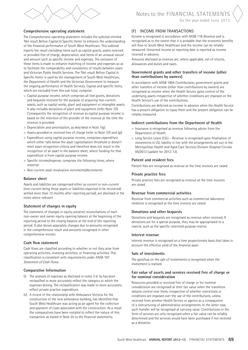

Notes to the financial statements for the year ended June 2013

#### **Comprehensive operating statement**

The Comprehensive operating statement includes the subtotal entitled 'Net result Before Capital & Specific Items' to enhance the understanding of the financial performance of South West Healthcare. This subtotal reports the result excluding items such as capital grants, assets received or provided free of charge, depreciation, and items of an unusual nature and amount such as specific income and expenses. The exclusion of these items is made to enhance matching of income and expenses so as to facilitate the comparability and consistency of results between years and Victorian Public Health Services. The 'Net result Before Capital & Specific Items' is used by the management of South West Healthcare, the Department of Health and the Victorian Government to measure the ongoing performance of Health Services. Capital and specific items, which are excluded from this sub-total, comprise:

- > Capital purpose income, which comprises all tied grants, donations and bequests received for the purpose of acquiring non-current assets, such as capital works, plant and equipment or intangible assets. It also includes donations of plant and equipment (refer Note 1(f). Consequently the recognition of revenue as capital purpose income is based on the intention of the provider of the revenue at the time the revenue is provided.
- > Depreciation and amortisation, as described in Note 1(g)
- > Assets provided or received free of charge (refer to Note 1(f) and (g))
- > Expenditure using capital purpose income, comprises expenditure which either falls below the asset capitalisation threshold or doesn't meet asset recognition criteria and therefore does not result in the recognition of an asset in the balance sheet, where funding for that expenditure is from capital purpose income.
- > Specific income/expense, comprises the following items, where material:
- > Non-current asset revaluation increments/decrements

#### **Balance sheet**

Assets and liabilities are categorised either as current or non-current (non-current being those assets or liabilities expected to be recovered/ settled more than 12 months after reporting period), are disclosed in the notes where relevant.

#### **Statement of changes in equity**

The statement of changes in equity presents reconciliations of each non-owner and owner equity opening balance at the beginning of the reporting period to the closing balance at the end of the reporting period. It also shows separately changes due to amounts recognised in the comprehensive result and amounts recognised in other comprehensive income.

#### **Cash flow statement**

Cash flows are classified according to whether or not they arise from operating activities, investing activities, or financing activities. This classification is consistent with requirements under AASB 107 *Statement of Cash Flows*.

#### **Comparative Information**

- (i) The analysis of expenses as disclosed in notes  $3 \text{ ft } 3$ a has been reclassified to more accurately reflect the category to which the expenses belong. The reclassification was made to more accurately reflect private practice expenditure.
- (ii) A review of the relationship with Ambulance Victoria for the construction of the new ambulance building, has identified that South West Healthcare was acting as an agent for the collection and payment of costs associated with the construction. As a result the comparatives have been restated to reflect the nature of this transaction as stated in Note 25 to the financial statements.

#### (f) Income from transactions

Income is recognised in accordance with AASB 118 *Revenue* and is recognised as to the extent that it is probable that the economic benefits will flow to South West Healthcare and the income can be reliably measured. Unearned income at reporting date is reported as income received in advance.

Amounts disclosed as revenue are, where applicable, net of returns, allowances and duties and taxes.

#### **Government grants and other transfers of income (other than contributions by owners)**

In accordance with AASB 1004 *Contributions*, government grants and other transfers of income (other than contributions by owners) are recognised as income when the Health Service gains control of the underlying assets irrespective of whether conditions are imposed on the Health Service's use of the contributions.

Contributions are deferred as income in advance when the Health Service has a present obligation to repay them and the present obligation can be reliably measured.

#### **Indirect contributions from the Department of Health**

- > Insurance is recognised as revenue following advice from the Department of Health.
- > Long Service Leave (LSL) Revenue is recognised upon finalisation of movements in LSL liability in line with the arrangements set out in the Metropolitan Health and Aged Care Services Division Hospital Circular 05/2013 (update for 2012-13).

#### **Patient and resident fees**

Patient fees are recognised as revenue at the time invoices are raised.

#### **Private practice fees**

Private practice fees are recognised as revenue at the time invoices are raised.

#### **Revenue from commercial activities**

Revenue from commercial activities such as commercial laboratory medicine is recognised at the time invoices are raised.

#### **Donations and other bequests**

Donations and bequests are recognised as revenue when received. If donations are for a special purpose, they may be appropriated to a reserve, such as the specific restricted purpose reserve.

#### **Interest revenue**

Interest revenue is recognised on a time proportionate basis that takes in account the effective yield of the financial asset.

#### **Sale of investments**

The gain/loss on the sale of investments is recognised when the investment is realised.

#### **Fair value of assets and services received free of charge or for nominal consideration**

Resources provided or received free of charge or for nominal consideration are recognised at their fair value when the transferee obtains control over them, irrespective of whether restrictions or conditions are imposed over the use of the contributions, unless received from another Health Service or agency as a consequence of a restructuring of administrative arrangements. In the latter case, such transfer will be recognised at carrying value. Contributions in the form of services are only recognised when a fair value can be reliably determined and the services would have been purchased if not received as a donation.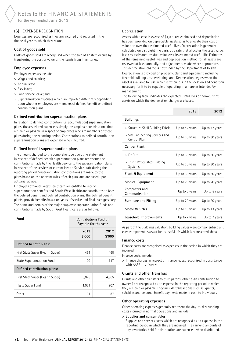# (g) Expense Recognition

Expenses are recognised as they are incurred and reported in the financial year to which they relate.

#### **Cost of goods sold**

Costs of goods sold are recognised when the sale of an item occurs by transferring the cost or value of the item/s from inventories.

#### **Employee expenses**

Employee expenses include:

- > Wages and salaries;
- > Annual leave;
- > Sick leave;
- > Long service leave; and
- > Superannuation expenses which are reported differently depending upon whether employees are members of defined benefit or defined contribution plans.

#### **Defined contribution superannuation plans**

In relation to defined contribution (i.e. accumulation) superannuation plans, the associated expense is simply the employer contributions that are paid or payable in respect of employees who are members of these plans during the reporting period. Contributions to defined contribution superannuation plans are expensed when incurred.

#### **Defined benefit superannuation plans**

The amount charged to the comprehensive operating statement in respect of defined benefit superannuation plans represents the contributions made by the Health Service to the superannuation plans in respect of the services of current Health Service staff during the reporting period. Superannuation contributions are made to the plans based on the relevant rules of each plan, and are based upon actuarial advice.

Employees of South West Healthcare are entitled to receive superannuation benefits and South West Healthcare contributes to both the defined benefit and defined contribution plans. The defined benefit plan(s) provide benefits based on years of service and final average salary. The name and details of the major employee superannuation funds and contributions made by South West Healthcare are as follows:

| Fund                             |                | <b>Contributions Paid or</b><br>Payable for the year |  |
|----------------------------------|----------------|------------------------------------------------------|--|
|                                  | 2013<br>\$'000 | 2012<br>\$'000                                       |  |
| Defined benefit plans:           |                |                                                      |  |
| First State Super (Health Super) | 451            | 460                                                  |  |
| State Superannuation Fund        | 109            | 117                                                  |  |
| Defined contribution plans:      |                |                                                      |  |
| First State Super (Health Super) | 5,078          | 4,865                                                |  |
| Hesta Super Fund                 | 1,031          | 907                                                  |  |
| 0ther                            | 101            | 87                                                   |  |

#### **Depreciation**

Assets with a cost in excess of \$1,000 are capitalised and depreciation has been provided on depreciable assets so as to allocate their cost or valuation over their estimated useful lives. Depreciation is generally calculated on a straight line basis, at a rate that allocates the asset value, less any estimated residual value over its estimated useful life. Estimates of the remaining useful lives and depreciation method for all assets are reviewed at least annually, and adjustments made where appropriate. This depreciation charge is not funded by the Department of Health. Depreciation is provided on property, plant and equipment, including freehold buildings, but excluding land. Depreciation begins when the asset is available for use, which is when it is in the location and condition necessary for it to be capable of operating in a manner intended by management.

The following table indicates the expected useful lives of non-current assets on which the depreciation charges are based.

|                                                  | 2013           | 2012           |
|--------------------------------------------------|----------------|----------------|
| <b>Buildings</b>                                 |                |                |
| > Structure Shell Building Fabric                | Up to 42 years | Up to 42 years |
| > Site Engineering Services and<br>Central Plant | Up to 30 years | Up to 30 years |
| <b>Central Plant</b>                             |                |                |
| $>$ Fit Out                                      | Up to 30 years | Up to 30 years |
| > Trunk Reticulated Building<br>Systems          | Up to 30 years | Up to 30 years |
| <b>Plant &amp; Equipment</b>                     | Up to 30 years | Up to 30 years |
| <b>Medical Equipment</b>                         | Up to 20 years | Up to 20 years |
| Computers and<br>Communication                   | Up to 5 years  | Up to 5 years  |
| <b>Furniture and Fitting</b>                     | Up to 20 years | Up to 20 years |
| <b>Motor Vehicles</b>                            | Up to 13 years | Up to 13 years |
| Leasehold Improvements                           | Up to 7 years  | Up to 7 years  |

As part of the Buildings valuation, building values were componentised and each component assessed for its useful life which is represented above.

#### **Finance costs**

Finance costs are recognised as expenses in the period in which they are incurred.

Finance costs include:

> finance charges in respect of finance leases recognised in accordance with AASB 117 *Leases*.

#### **Grants and other transfers**

Grants and other transfers to third parties (other than contribution to owners) are recognised as an expense in the reporting period in which they are paid or payable. They include transactions such as: grants, subsidies and personal benefit payments made in cash to individuals.

#### **Other operating expenses**

Other operating expenses generally represent the day-to-day running costs incurred in normal operations and include:

#### > **Supplies and consumables**

Supplies and services costs which are recognised as an expense in the reporting period in which they are incurred. The carrying amounts of any inventories held for distribution are expensed when distributed.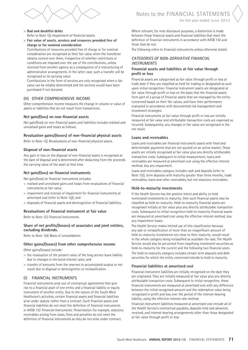

#### > **Bad and doubtful debts** Refer to Note 1(j) *Impairment of financial assets*.

> **Fair value of assets, services and resources provided free of charge or for nominal consideration**

Contributions of resources provided free of charge or for nominal consideration are recognised at their fair value when the transferee obtains control over them, irrespective of whether restrictions or conditions are imposed over the use of the contributions, unless received from another agency as a consequence of a restructuring of administrative arrangements. In the latter case, such a transfer will be recognised at its carrying value.

Contributions in the form of services are only recognised when a fair value can be reliably determined and the services would have been purchased if not donated.

#### (h) Other comprehensive income

Other comprehensive income measures the change in volume or value of assets or liabilities that do not result from transactions.

#### **Net gain/(loss) on non-financial assets**

Net gain/(loss) on non-financial assets and liabilities includes realised and unrealised gains and losses as follows:

#### **Revaluation gains/(losses) of non-financial physical assets**

Refer to Note 1(j) *Revaluations of non-financial physical assets*.

#### **Disposal of non-financial assets**

Any gain or loss on the disposal of non-financial assets is recognised at the date of disposal and is determined after deducting from the proceeds the carrying value of the asset at that time.

#### **Net gain/(loss) on financial instruments**

Net gain/(loss) on financial instruments includes:

- > realised and unrealised gains and losses from revaluations of financial instruments at fair value;
- > impairment and reversal of impairment for financial instruments at amortised cost (refer to Note 1(j)); and
- > disposals of financial assets and derecognition of financial liabilities.

#### **Revaluations of financial instrument at fair value**

Refer to Note 1(i) *Financial instruments*.

#### **Share of net profits/(losses) of associates and joint entities, excluding dividends.**

Refer to Note 1(d) *Basis of consolidation*.

#### **Other gains/(losses) from other comprehensive income**

Other gains/(losses) include:

- > the revaluation of the present value of the long service leave liability due to changes in the bond interest rates; and
- > transfer of amounts from the reserves to accumulated surplus or net result due to disposal or derecognition or reclassification.

# (i) Financial instruments

Financial instruments arise out of contractual agreements that give rise to a financial asset of one entity and a financial liability or equity instrument of another entity. Due to the nature of the South West Healthcare's activities, certain financial assets and financial liabilities arise under statute rather than a contract. Such financial assets and financial liabilities do not meet the definition of financial instruments in AASB 132 *Financial Instruments: Presentation*. For example, statutory receivables arising from taxes, fines and penalties do not meet the definition of financial instruments as they do not arise under contract.

Notes to the FINANCIAL STATEMENTS for the year ended June 2013

Where relevant, for note disclosure purposes, a distinction is made between those financial assets and financial liabilities that meet the definition of financial instruments in accordance with AASB 132 and those that do not.

The following refers to financial instruments unless otherwise stated.

#### *Categories of non-derivative financial instruments*

#### **Financial assets and liabilities at fair value through profit or loss**

Financial assets are categorised as fair value through profit or loss at trade date if they are classified as held for trading or designated as such upon initial recognition. Financial instrument assets are designated at fair value through profit or loss on the basis that the financial assets form part of a group of financial assets that are managed by the entity concerned based on their fair values, and have their performance evaluated in accordance with documented risk management and investment strategies.

Financial instruments at fair value through profit or loss are initially measured at fair value and attributable transaction costs are expensed as incurred. Subsequently, any changes in fair value are recognised in the net result.

#### **Loans and receivables**

Loans and receivables are financial instrument assets with fixed and determinable payments that are not quoted on an active market. These assets are initially recognised at fair value plus any directly attributable transaction costs. Subsequent to initial measurement, loans and receivables are measured at amortised cost using the effective interest method, less any impairment.

Loans and receivables category includes cash and deposits (refer to Note 1(i)), term deposits with maturity greater than three months, trade receivables, loans and other receivables, but not statutory receivables.

#### **Held-to-maturity investments**

If the Health Service has the positive intent and ability to hold nominated investments to maturity, then such financial assets may be classified as held-to-maturity. Held-to-maturity financial assets are recognised initially at fair value plus any directly attributable transaction costs. Subsequent to initial recognition held-to-maturity financial assets are measured at amortised cost using the effective interest method, less any impairment losses.

The Health Service makes limited use of this classification because any sale or reclassification of more than an insignificant amount of held-to-maturity investments not close to their maturity, would result in the whole category being reclassified as available-for-sale. The Health Service would also be prevented from classifying investment securities as held-to-maturity for the current and the following two financial years. The held-to-maturity category includes certain term deposits and debt securities for which the entity concerned intends to hold to maturity.

#### **Financial liabilities at amortised cost**

Financial instrument liabilities are initially recognised on the date they are originated. They are initially measured at fair value plus any directly attributable transaction costs. Subsequent to initial recognition, these financial instruments are measured at amortised cost with any difference between the initial recognised amount and the redemption value being recognised in profit and loss over the period of the interest-bearing liability, using the effective interest rate method.

Financial instrument liabilities measured at amortised cost include all of the Health Service's contractual payables, deposits held and advances received, and interest-bearing arrangements other than those designated at fair value through profit or loss.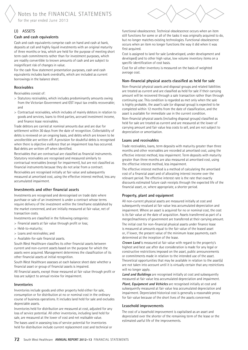Notes to the FINANCIAL STATEMENTS for the year ended June 2013

#### (j) Assets

#### **Cash and cash equivalents**

Cash and cash equivalents comprise cash on hand and cash at bank, deposits at call and highly liquid investments with an original maturity of three months or less, which are held for the purpose of meeting short term cash commitments rather than for investment purposes, which are readily convertible to known amounts of cash and are subject to insignificant risk of changes in value.

For the cash flow statement presentation purposes, cash and cash equivalents includes bank overdrafts, which are included as current borrowings in the balance sheet.

#### **Receivables**

Receivables consist of:

- > Statutory receivables, which includes predominantly amounts owing from the Victorian Government and GST input tax credits recoverable; and
- > Contractual receivables, which includes of mainly debtors in relation to goods and services, loans to third parties, accrued investment income, and finance lease receivables.

Trade debtors are carried at nominal amounts due and are due for settlement within 30 days from the date of recognition. Collectability of debts is reviewed on an ongoing basis, and debts which are known to be uncollectible are written off. A provision for doubtful debts is recognised when there is objective evidence that an impairment loss has occurred. Bad debts are written off when identified.

Receivables that are contractual are classified as financial instruments. Statutory receivables are recognised and measured similarly to contractual receivables (except for impairment), but are not classified as financial instruments because they do not arise from a contract.

Receivables are recognised initially at fair value and subsequently measured at amortised cost, using the effective interest method, less any accumulated impairment.

#### **Investments and other financial assets**

Investments are recognised and derecognised on trade date where purchase or sale of an investment is under a contract whose terms require delivery of the investment within the timeframe established by the market concerned, and are initially measured at fair value, net of transaction costs.

Investments are classified in the following categories:

- > Financial assets at fair value through profit or loss;
- > Held-to-maturity;
- > Loans and receivables; and
- > Available-for-sale financial assets.

South West Healthcare classifies its other financial assets between current and non-current assets based on the purpose for which the assets were acquired. Management determines the classification of its other financial assets at initial recognition.

South West Healthcare assesses at each balance sheet date whether a financial asset or group of financial assets is impaired.

All financial assets, except those measured at fair value through profit or loss are subject to annual review for impairment.

#### **Inventories**

Inventories include goods and other property held either for sale, consumption or for distribution at no or nominal cost in the ordinary course of business operations. It includes land held for sale and excludes depreciable assets.

Inventories held for distribution are measured at cost, adjusted for any loss of service potential. All other inventories, including land held for sale, are measured at the lower of cost and net realisable value. The bases used in assessing loss of service potential for inventories held for distribution include current replacement cost and technical or

functional obsolescence. Technical obsolescence occurs when an item still functions for some or all of the tasks it was originally acquired to do, but no longer matches existing technologies. Functional obsolescence occurs when an item no longer functions the way it did when it was first acquired.

Cost is assigned to land for sale (undeveloped, under development and developed) and to other high value, low volume inventory items on a specific identification of cost basis.

Cost for all other inventory is measured on the basis of weighted average cost.

#### **Non-financial physical assets classified as held for sale**

Non-financial physical assets and disposal groups and related liabilities are treated as current and are classified as held for sale if their carrying amount will be recovered through a sale transaction rather than through continuing use. This condition is regarded as met only when the sale is highly probable, the asset's sale (or disposal group) is expected to be completed within 12 months from the date of classification, and the asset is available for immediate use in the current condition. Non-financial physical assets (including disposal groups) classified as

held for sale are treated as current and are measured at the lower of carrying amount and fair value less costs to sell, and are not subject to depreciation or amortisation.

#### **Loans and receivables**

Trade receivables, loans, term deposits with maturity greater than three months and other receivables are recorded at amortised cost, using the effective interest method, less impairment. Term deposits with maturity greater than three months are also measured at amortised cost, using the effective interest method, less impairment.

The effective interest method is a method of calculating the amortised cost of a financial asset and of allocating interest income over the relevant period. The effective interest rate is the rate that exactly discounts estimated future cash receipts through the expected life of the financial asset, or, where appropriate, a shorter period.

#### **Property, plant and equipment**

All non-current physical assets are measured initially at cost and subsequently revalued at fair value less accumulated depreciation and impairment. Where an asset is acquired for no or nominal cost, the cost is its fair value at the date of acquisition. Assets transferred as part of a merger/machinery of government are transferred at their carrying amount. The initial cost for non-financial physical assets under finance lease is measured at amounts equal to the fair value of the leased asset or, if lower, the present value of the minimum lease payments, each determined at the inception of the lease.

**Crown Land** is measured at fair value with regard to the property's highest and best use after due consideration is made for any legal or constructive restrictions imposed on the asset, public announcements or commitments made in relation to the intended use of the asset. Theoretical opportunities that may be available in relation to the asset(s) are not taken into account until it is virtually certain that any restrictions will no longer apply.

**Land and Buildings** are recognised initially at cost and subsequently measured at fair value less accumulated depreciation and impairment.

**Plant, Equipment and Vehicles** are recognised initially at cost and subsequently measured at fair value less accumulated depreciation and impairment. Depreciated historical cost is generally a reasonable proxy for fair value because of the short lives of the assets concerned.

#### **Leasehold improvements**

The cost of a leasehold improvement is capitalised as an asset and depreciated over the shorter of the remaining term of the lease or the estimated useful life of the improvements.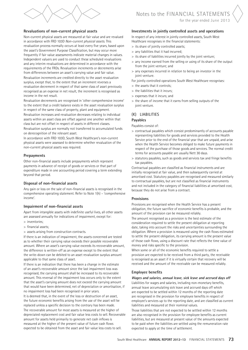



#### **Revaluations of non-current physical assets**

Non-current physical assets are measured at fair value and are revalued in accordance with FRD 103D *Non-current physical assets*. This revaluation process normally occurs at least every five years, based upon the asset's Government Purpose Classification, but may occur more frequently if fair value assessments indicate material changes in values. Independent valuers are used to conduct these scheduled revaluations and any interim revaluations are determined in accordance with the requirements of the FRDs. Revaluation increments or decrements arise from differences between an asset's carrying value and fair value. Revaluation increments are credited directly to the asset revaluation surplus, except that, to the extent that an increment reverses a revaluation decrement in respect of that same class of asset previously recognised as an expense in net result, the increment is recognised as income in the net result.

Revaluation decrements are recognised in 'other comprehensive income' to the extent that a credit balance exists in the asset revaluation surplus in respect of the same class of property, plant and equipment. Revaluation increases and revaluation decreases relating to individual assets within an asset class are offset against one another within that class but are not offset in respect of assets in different classes. Revaluation surplus are normally not transferred to accumulated funds on derecognition of the relevant asset.

In accordance with FRD 103D, South West Healthcare's non-current physical assets were assessed to determine whether revaluation of the non-current physical assets was required.

#### **Prepayments**

Other non-financial assets include prepayments which represent payments in advance of receipt of goods or services or that part of expenditure made in one accounting period covering a term extending beyond that period.

#### **Disposal of non-financial assets**

Any gain or loss on the sale of non-financial assets is recognised in the comprehensive operating statement. Refer to Note 1(h) – 'comprehensive income'.

#### **Impairment of non-financial assets**

Apart from intangible assets with indefinite useful lives, all other assets are assessed annually for indications of impairment, except for:

- > inventories;
- > financial assets;
- > assets arising from construction contracts.

If there is an indication of impairment, the assets concerned are tested as to whether their carrying value exceeds their possible recoverable amount. Where an asset's carrying value exceeds its recoverable amount, the difference is written-off as an expense except to the extent that the write-down can be debited to an asset revaluation surplus amount applicable to that same class of asset.

If there is an indication that there has been a change in the estimate of an asset's recoverable amount since the last impairment loss was recognised, the carrying amount shall be increased to its recoverable amount. This reversal of the impairment loss occurs only to the extent that the asset's carrying amount does not exceed the carrying amount that would have been determined, net of depreciation or amortisation, if no impairment loss had been recognised in prior years.

It is deemed that, in the event of the loss or destruction of an asset, the future economic benefits arising from the use of the asset will be replaced unless a specific decision to the contrary has been made. The recoverable amount for most assets is measured at the higher of depreciated replacement cost and fair value less costs to sell. Recoverable amount for assets held primarily to generate net cash inflows is measured at the higher of the present value of future cash flows expected to be obtained from the asset and fair value less costs to sell.

#### **Investments in jointly controlled assets and operations**

In respect of any interest in jointly controlled assets, South West Healthcare recognises in the financial statements:

- > its share of jointly controlled assets;
- > any liabilities that it had incurred;
- > its share of liabilities incurred jointly by the joint venture;
- > any income earned from the selling or using of its share of the output from the joint venture; and
- > any expenses incurred in relation to being an investor in the joint venture.
- For jointly controlled operations South West Healthcare recognises:
- > the assets that it controls;
- > the liabilities that it incurs;
- > expenses that it incurs; and
- > the share of income that it earns from selling outputs of the joint venture.

#### (k) Liabilities

# **Payables**

Payables consist of:

- > contractual payables which consist predominantly of accounts payable representing liabilities for goods and services provided to the Health Service prior to the end of the financial year that are unpaid, and arise when the Health Service becomes obliged to make future payments in respect of the purchase of those goods and services. The normal credit terms for accounts payable are usually Nett 30 days.
- > statutory payables, such as goods and services tax and fringe benefits tax payables.

Contractual payables are classified as financial instruments and are initially recognised at fair value, and then subsequently carried at amortised cost. Statutory payables are recognised and measured similarly to contractual payables, but are not classified as financial instruments and not included in the category of financial liabilities at amortised cost, because they do not arise from a contract.

#### **Provisions**

Provisions are recognised when the Health Service has a present obligation, the future sacrifice of economic benefits is probable, and the amount of the provision can be measured reliably.

The amount recognised as a provision is the best estimate of the consideration required to settle the present obligation at reporting date, taking into account the risks and uncertainties surrounding the obligation. Where a provision is measured using the cash flows estimated to settle the present obligation, its carrying amount is the present value of those cash flows, using a discount rate that reflects the time value of money and risks specific to the provision.

When some or all of the economic benefits required to settle a provision are expected to be received from a third party, the receivable is recognised as an asset if it is virtually certain that recovery will be received and the amount of the receivable can be measured reliably.

#### **Employee benefits**

#### **Wages and salaries, annual leave, sick leave and accrued days off**

Liabilities for wages and salaries, including non-monetary benefits, annual leave accumulating sick leave and accrued days off which are expected to be settled within 12 months of the reporting date are recognised in the provision for employee benefits in respect of employee's services up to the reporting date, and are classified as current liabilities and measured at their nominal values.

Those liabilities that are not expected to be settled within 12 months are also recognised in the provision for employee benefits as current liabilities, but are measured at present value of the amounts expected to be paid when the liabilities are settled using the remuneration rate expected to apply at the time of settlement.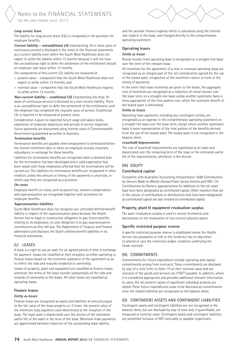#### **Long service leave**

The liability for long service leave (LSL) is recognised in the provision for employee benefits.

**Current liability – unconditional LSL** (representing 10 or more years of continuous service) is disclosed in the notes to the financial statements as a current liability even where the South West Healthcare does not expect to settle the liability within 12 months because it will not have the unconditional right to defer the settlement of the entitlement should an employee take leave within 12 months.

The components of this current LSL liability are measured at:

- > present value component that the South West Healthcare does not expect to settle within 12 months; and
- > nominal value component that the South West Healthcare expects to settle within 12 months.

**Non-current liability – conditional LSL** (representing less than 10 years of continuous service) is disclosed as a non-current liability. There is an unconditional right to defer the settlement of the entitlement until the employee has completed the requisite years of service. Conditional LSL is required to be measured at present value.

Consideration is given to expected future wage and salary levels, experience of employee departures and periods of service. Expected future payments are discounted using interest rates of Commonwealth Government guaranteed securities in Australia.

#### **Termination benefits**

Termination benefits are payable when employment is terminated before the normal retirement date or when an employee accepts voluntary redundancy in exchange for these benefits.

Liabilities for termination benefits are recognised when a detailed plan for the termination has been developed and a valid expectation has been raised with those employees affected that the terminations will be carried out. The liabilities for termination benefits are recognised in other creditors unless the amount or timing of the payments is uncertain, in which case they are recognised as a provision.

#### **On-costs**

Employee benefit on-costs, such as payroll tax, workers compensation and superannuation are recognised together with provisions for employee benefits.

#### **Superannuation liabilities**

South West Healthcare does not recognise any unfunded defined benefit liability in respect of the superannuation plans because the Health Service has no legal or constructive obligation to pay future benefits relating to its employees; its only obligation is to pay superannuation contributions as they fall due. The Department of Treasury and Finance administers and discloses the State's defined benefit liabilities in its financial statements.

#### (l) Leases

A lease is a right to use an asset for an agreed period of time in exchange for payment. Leases are classified at their inception as either operating or finance leases based on the economic substance of the agreement so as to reflect the risks and rewards incidental to ownership.

Leases of property, plant and equipment are classified as finance leases whenever the terms of the lease transfer substantially all the risks and rewards of ownership to the lessee. All other leases are classified as operating leases.

#### **Finance leases**

#### **Entity as lessee**

Finance leases are recognised as assets and liabilities at amounts equal to the fair value of the lease property or, if lower, the present value of the minimum lease payment, each determined at the inception of the lease. The lease asset is depreciated over the shorter of the estimated useful life of the asset or the term of the lease. Minimum lease payments are apportioned between reduction of the outstanding lease liability,



rate implicit in the lease, and charged directly to the comprehensive operating statement.

#### **Operating leases**

#### **Entity as lessor**

Rental income from operating lease is recognised on a straight-line basis over the term of the relevant lease.

All incentives for the agreement of a new or renewed operating lease are recognised as an integral part of the net consideration agreed for the use of the leased asset, irrespective of the incentive's nature or form or the timing of payments.

In the event that lease incentives are given to the lessee, the aggregate cost of incentives are recognised as a reduction of rental income over the lease term, on a straight-line basis unless another systematic basis is more appropriate of the time pattern over which the economic benefit of the leased asset is diminished.

#### **Entity as lessee**

Operating lease payments, including any contingent rentals, are recognised as an expense in the comprehensive operating statement on a straight line basis over the lease term, except where another systematic basis is more representative of the time pattern of the benefits derived from the use of the leased asset. The leased asset is not recognised in the balance sheet.

#### **Leasehold Improvements**

The cost of leasehold improvements are capitalised as an asset and depreciated over the remaining term of the lease or the estimated useful life of the improvements, whichever is the shorter.

#### (M) EQUITY

#### **Contributed capital**

Consistent with Australian Accounting Interpretation 1038 *Contributions by Owners Made to Wholly-Owned Public Sector Entities* and FRD 119 Contributions by Owners, appropriations for additions to the net asset base have been designated as contributed capital. Other transfers that are in the nature of contributions or distributions that have been designated as contributed capital are also treated as contributed capital.

#### **Property, plant & equipment revaluation surplus**

The asset revaluation surplus is used to record increments and decrements on the revaluation of non-current physical assets.

#### **Specific restricted purpose reserve**

A specific restricted purpose reserve is established where the Health Service has possession or title to the funds but has no discretion to amend or vary the restriction and/or condition underlying the funds received.

#### (n) Commitments

Commitments for future expenditure include operating and capital commitments arising from contracts. These commitments are disclosed by way of a note (refer to Note 17) at their nominal value and are inclusive of the goods and services tax ("GST") payable. In addition, where it is considered appropriate and provides additional relevant information to users, the net present values of significant individual projects are stated. These future expenditures cease to be disclosed as commitments once the related liabilities are recognised on the balance sheet.

#### (o) Contingent assets and contingent liabilities

Contingent assets and contingent liabilities are not recognised in the balance sheet, but are disclosed by way of note and, if quantifiable, are measured at nominal value. Contingent assets and contingent liabilities are presented inclusive of GST receivable or payable respectively.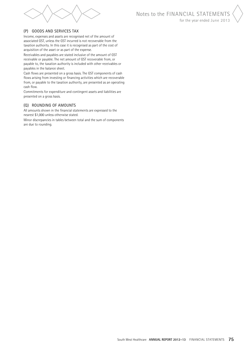

#### (p) Goods and Services Tax

Income, expenses and assets are recognised net of the amount of associated GST, unless the GST incurred is not recoverable from the taxation authority. In this case it is recognised as part of the cost of acquisition of the asset or as part of the expense.

Receivables and payables are stated inclusive of the amount of GST receivable or payable. The net amount of GST recoverable from, or payable to, the taxation authority is included with other receivables or payables in the balance sheet.

Cash flows are presented on a gross basis. The GST components of cash flows arising from investing or financing activities which are recoverable from, or payable to the taxation authority, are presented as an operating cash flow.

Commitments for expenditure and contingent assets and liabilities are presented on a gross basis.

#### (q) Rounding of Amounts

All amounts shown in the financial statements are expressed to the nearest \$1,000 unless otherwise stated.

Minor discrepancies in tables between total and the sum of components are due to rounding.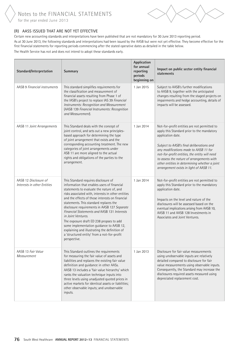

# (r) AASs issued that are not yet effective

Certain new accounting standards and interpretations have been published that are not mandatory for 30 June 2013 reporting period. As at 30 June 2013, the following standards and interpretations had been issued by the AASB but were not yet effective. They become effective for the first financial statements for reporting periods commencing after the stated operative dates as detailed in the table below.

The Health Service has not and does not intend to adopt these standards early.

| Standard/Interpretation                              | Summary                                                                                                                                                                                                                                                                                                                                                                                                                                                                                                                                                                                                          | Application<br>for annual<br>reporting<br>periods<br>beginning on | Impact on public sector entity financial<br>statements                                                                                                                                                                                                                                                                                                                                          |
|------------------------------------------------------|------------------------------------------------------------------------------------------------------------------------------------------------------------------------------------------------------------------------------------------------------------------------------------------------------------------------------------------------------------------------------------------------------------------------------------------------------------------------------------------------------------------------------------------------------------------------------------------------------------------|-------------------------------------------------------------------|-------------------------------------------------------------------------------------------------------------------------------------------------------------------------------------------------------------------------------------------------------------------------------------------------------------------------------------------------------------------------------------------------|
| AASB 9 Financial instruments                         | This standard simplifies requirements for<br>the classification and measurement of<br>financial assets resulting from Phase 1 of<br>the IASB's project to replace IAS 39 Financial<br>Instruments: Recognition and Measurement<br>(AASB 139 Financial Instruments: Recognition<br>and Measurement).                                                                                                                                                                                                                                                                                                              | 1 Jan 2015                                                        | Subject to AASB's further modifications<br>to AASB 9, together with the anticipated<br>changes resulting from the staged projects on<br>impairments and hedge accounting, details of<br>impacts will be assessed.                                                                                                                                                                               |
| AASB 11 Joint Arrangements                           | This Standard deals with the concept of<br>joint control, and sets out a new principles-<br>based approach for determining the type<br>of joint arrangement that exists and the<br>corresponding accounting treatment. The new<br>categories of joint arrangements under<br>ASB 11 are more aligned to the actual<br>rights and obligations of the parties to the<br>arrangement.                                                                                                                                                                                                                                | 1 Jan 2014                                                        | Not-for-profit entities are not permitted to<br>apply this Standard prior to the mandatory<br>application date.<br>Subject to AASB's final deliberations and<br>any modifications made to AASB 11 for<br>not-for-profit entities, the entity will need<br>to assess the nature of arrangements with<br>other entities in determining whether a joint<br>arrangement exists in light of AASB 11. |
| AASB 12 Disclosure of<br>Interests in other Entities | This Standard requires disclosure of<br>information that enables users of financial<br>statements to evaluate the nature of, and<br>risks associated with, interests in other entities<br>and the effects of those interests on financial<br>statements. This standard replaces the<br>disclosure requirements in AASB 127 Separate<br>Financial Statements and AASB 131 Interests<br>in Joint Ventures.<br>The exposure draft ED 238 propses to add<br>some implementation guidance to AASB 12,<br>explaining and illustrating the definition of<br>a 'structured entity' from a not-for-profit<br>perspective. | 1 Jan 2014                                                        | Not-for-profit entities are not permitted to<br>apply this Standard prior to the mandatory<br>application date.<br>Impacts on the level and nature of the<br>disclosures will be assessed based on the<br>eventual implications arising from AASB 10,<br>AASB 11 and AASB 128 Investments in<br>Associates and Joint Ventures.                                                                  |
| AASB 13 Fair Value<br>Measurement                    | This Standard outlines the requirements<br>for measuring the fair value of assets and<br>liabilities and replaces the existing fair value<br>definition and guidance in other AASs.<br>AASB 13 includes a 'fair value hierarchy' which<br>ranks the valuation technique inputs into<br>three levels using unadjusted quoted prices in<br>active markets for identical assets or liabilities;<br>other observable inputs; and unobservable<br>inputs.                                                                                                                                                             | 1 Jan 2013                                                        | Disclosure for fair value measurements<br>using unobservable inputs are relatively<br>detailed compared to disclosure for fair<br>value measurements using observable inputs.<br>Consequently, the Standard may increase the<br>disclosures required assets measured using<br>depreciated replacement cost.                                                                                     |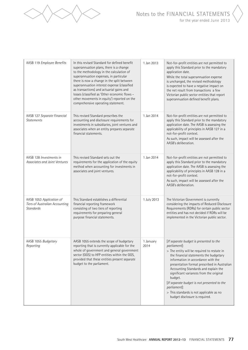

| AASB 119 Employee Benefits                                                     | In this revised Standard for defined benefit<br>superannuation plans, there is a change<br>to the methodology in the calculation of<br>superannuation expenses, in particular<br>there is now a change in the split between<br>superannuation interest expense (classified<br>as transactions) and actuarial gains and<br>losses (classified as 'Other economic flows -<br>other movements in equity') reported on the<br>comprehensive operating statement. | 1 Jan 2013        | Not-for-profit entities are not permitted to<br>apply this Standard prior to the mandatory<br>application date.<br>While the total superannuation expense<br>is unchanged, the revised methodology<br>is expected to have a negative impact on<br>the net result from transactions a few<br>Victorian public sector entities that report<br>superannuation defined benefit plans.                                                                                                 |
|--------------------------------------------------------------------------------|--------------------------------------------------------------------------------------------------------------------------------------------------------------------------------------------------------------------------------------------------------------------------------------------------------------------------------------------------------------------------------------------------------------------------------------------------------------|-------------------|-----------------------------------------------------------------------------------------------------------------------------------------------------------------------------------------------------------------------------------------------------------------------------------------------------------------------------------------------------------------------------------------------------------------------------------------------------------------------------------|
| AASB 127 Separate Financial<br><b>Statements</b>                               | This revised Standard prescribes the<br>accounting and disclosure requirements for<br>investments in subsidiaries, joint ventures and<br>associates when an entity prepares separate<br>financial statements.                                                                                                                                                                                                                                                | 1 Jan 2014        | Not-for-profit entities are not permitted to<br>apply this Standard prior to the mandatory<br>application date. The AASB is assessing the<br>applicability of principles in AASB 127 in a<br>not-for-profit context.<br>As such, impact will be assessed after the<br>AASB's deliberation.                                                                                                                                                                                        |
| AASB 128 Investments in<br>Associates and Joint Ventures                       | This revised Standard sets out the<br>requirements for the application of the equity<br>method when accounting for investments in<br>associates and joint ventures.                                                                                                                                                                                                                                                                                          | 1 Jan 2014        | Not-for-profit entities are not permitted to<br>apply this Standard prior to the mandatory<br>application date. The AASB is assessing the<br>applicability of principles in AASB 128 in a<br>not-for-profit context.<br>As such, impact will be assessed after the<br>AASB's deliberation.                                                                                                                                                                                        |
| AASB 1053 Application of<br>Tiers of Australian Accounting<br><b>Standards</b> | This Standard establishes a differential<br>financial reporting framework<br>consisting of two tiers of reporting<br>requirements for preparing general<br>purpose financial statements.                                                                                                                                                                                                                                                                     | 1 July 2013       | The Victorian Government is currently<br>considering the impacts of Reduced Disclosure<br>Requirements (RDRs) for certain public sector<br>entities and has not decided if RDRs will be<br>implemented in the Victorian public sector.                                                                                                                                                                                                                                            |
| AASB 1055 Budgetary<br>Reporting                                               | AASB 1055 extends the scope of budgetary<br>reporting that is currently applicable for the<br>whole of government and general government<br>sector (GGS) to HFP entities within the GGS,<br>provided that these entities present separate<br>budget to the parliament.                                                                                                                                                                                       | 1 January<br>2014 | [If separate budget is presented to the<br>parliament]:<br>> The entity will be required to restate in<br>the financial statements the budgetary<br>information in accordance with the<br>presentation format prescribed in Australian<br>Accounting Standards and explain the<br>significant variances from the original<br>budget.<br>[If separate budget is not presented to the<br>parliament]:<br>> This standards is not applicable as no<br>budget disclosure is required. |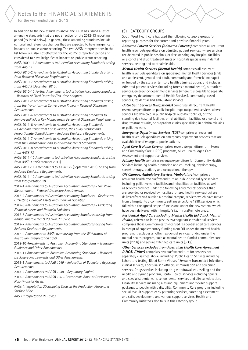Notes to the FINANCIAL STATEMENTS

for the year ended June 2013

In addition to the new standards above, the AASB has issued a list of amending standards that are not effective for the 2012-13 reporting period (as listed below). In general, these amending standards include editorial and references changes that are expected to have insignificant impacts on public sector reporting. The two AASB Interpretations in the list below are also not effective for the 2012-13 reporting period and considered to have insignificant impacts on public sector reporting.

AASB 2009-11 *Amendments to Australian Accounting Standards arising from AASB 9*.

AASB 2010-2 *Amendments to Australian Accounting Standards arising from Reduced Disclosure Requirements*.

AASB 2010-7 *Amendments to Australian Accounting Standards arising from AASB 9* (December 2010).

AASB 2010-10 *Further Amendments to Australian Accounting Standards – Removal of Fixed Dates for First-time Adopters*.

AASB 2011-2 *Amendments to Australian Accounting Standards arising from the Trans-Tasman Convergence Project – Reduced Disclosure Requirements*.

AASB 2011-4 *Amendments to Australian Accounting Standards to Remove Individual Key Management Personnel Disclosure Requirements*.

AASB 2011-6 *Amendments to Australian Accounting Standards – Extending Relief from Consolidation, the Equity Method and Proportionate Consolidation – Reduced Disclosure Requirements*.

AASB 2011-7 *Amendments to Australian Accounting Standards arising from the Consolidation and Joint Arrangements Standards*.

AASB 2011-8 *Amendments to Australian Accounting Standards arising from AASB 13*.

AASB 2011-10 *Amendments to Australian Accounting Standards arising from AASB 119* (September 2011).

AASB 2011-11 *Amendments to AASB 119* (September 2011) *arising from Reduced Disclosure Requirements*.

AASB 2011-12 *Amendments to Australian Accounting Standards arising from Interpretation 20* .

2012-1 *Amendments to Australian Accounting Standards - Fair Value Measurement - Reduced Disclosure Requirements*.

2012-2 *Amendments to Australian Accounting Standards – Disclosures – Offsetting Financial Assets and Financial Liabilities*.

2012-3 *Amendments to Australian Accounting Standards – Offsetting Financial Assets and Financial Liabilities*.

2012-5 *Amendments to Australian Accounting Standards arising from Annual Improvements 2009–2011 Cycle*.

2012-7 *Amendments to Australian Accounting Standards arising from Reduced Disclosure Requirements*.

2012-9 *Amendment to AASB 1048 arising from the Withdrawal of Australian Interpretation 1039*.

2012-10 *Amendments to Australian Accounting Standards – Transition Guidance and Other Amendments*.

2012-11 *Amendments to Australian Accounting Standards – Reduced Disclosure Requirements and Other Amendments*.

2013-1 *Amendments to AASB 1049 – Relocation of Budgetary Reporting Requirements*.

2013-2 *Amendments to AASB 1038 – Regulatory Capital*.

2013-3 *Amendments to AASB 136 – Recoverable Amount Disclosures for Non-Financial Assets*.

AASB *Interpretation 20 Stripping Costs in the Production Phase of a Surface Mine*.

AASB *Interpretation 21 Levies*.

South West Healthcare has used the following category groups for reporting purposes for the current and previous financial years.

**Admitted Patient Services (Admitted Patients)** comprises all recurrent health revenue/expenditure on admitted patient services, where services are delivered in public hospitals, or free standing day hospital facilities, or alcohol and drug treatment units or hospitals specialising in dental services, hearing and ophthalmic aids.

**Mental Health Services (Mental Health)** comprises all recurrent health revenue/expenditure on specialised mental Health Services (child and adolescent, general and adult, community and forensic) managed or funded by the state or territory health administrations, and includes: Admitted patient services (including forensic mental health), outpatient services, emergency department services (where it is possible to separate emergency department mental Health Services), community-based services, residential and ambulatory services.

**Outpatient Services (Outpatients)** comprises all recurrent health revenue/expenditure on public hospital type outpatient services, where services are delivered in public hospital outpatient clinics, or free standing day hospital facilities, or rehabilitation facilities, or alcohol and drug treatment units, or outpatient clinics specialising in ophthalmic aids or palliative care.

**Emergency Department Services (EDS)** comprises all recurrent health revenue/expenditure on emergency department services that are available free of charge to public patients.

**Aged Care & Home Care** comprises revenue/expenditure form Home and Community Care (HACC) programs, Allied Health, Aged Care Assessment and support services.

**Primary Health** comprises revenue/expenditure for Community Health Services including health promotion and counselling, physiotherapy, speech therapy, podiatry and occupational therapy.

**Off Campus, Ambulatory Services (Ambulatory)** comprises all recurrent health revenue/expenditure on public hospital type services including palliative care facilities and rehabilitation facilities, as well as services provided under the following agreements: Services that are provided or received by hospitals (or area health services) but are delivered/received outside a hospital campus, services which have moved from a hospital to a community setting since June 1998, services which fall within the agreed scope of inclusions under the new system, which have been delivered within hospital's i.e. in rural/remote areas.

**Residential Aged Care including Mental Health (RAC incl. Mental**  Health) referred to in the past as psychogeriatric residential services, comprises those Commonwealth-licensed residential aged care services in receipt of supplementary funding from DH under the mental health program. It excludes all other residential services funded under the mental health program, such as mental health funded community care units (CCUs) and secure extended care units (SECs).

**Other Services excluded from Australian Health Care Agreement (AHCA) (Other)** comprises revenue/expenditure for services not separately classified above, including: Public Health Services including Laboratory testing, Blood Borne Viruses / Sexually Transmitted Infections clinical services, Kooris liaison officers, immunisation and screening services, Drugs services including drug withdrawal, counselling and the needle and syringe program, Dental Health services including general and specialist dental care, school dental services and clinical education, Disability services including aids and equipment and flexible support packages to people with a disability, Community Care programs including sexual assault support, early parenting services, parenting assessment and skills development, and various support services. Health and Community Initiatives also falls in this category group.

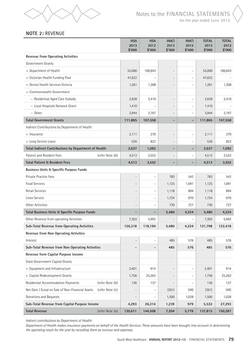

# **NOTE 2:** REVENUE

|                                                      |                 | <b>HSA</b><br>2013<br>\$'000 | <b>HSA</b><br>2012<br>\$'000 | H&CI<br>2013<br>\$'000   | <b>H&amp;CI</b><br>2012<br>\$'000 | <b>TOTAL</b><br>2013<br>\$'000 | <b>TOTAL</b><br>2012<br>\$'000 |
|------------------------------------------------------|-----------------|------------------------------|------------------------------|--------------------------|-----------------------------------|--------------------------------|--------------------------------|
| <b>Revenue from Operating Activities</b>             |                 |                              |                              |                          |                                   |                                |                                |
| Government Grants                                    |                 |                              |                              |                          |                                   |                                |                                |
| > Department of Health                               |                 | 55,000                       | 100,643                      |                          | $\overline{\phantom{0}}$          | 55,000                         | 100,643                        |
| > Victorian Health Funding Pool                      |                 | 47,622                       |                              | $\overline{a}$           | $\overline{\phantom{a}}$          | 47,622                         |                                |
| > Dental Health Services Victoria                    |                 | 1,261                        | 1,308                        | $\overline{a}$           | $\overline{\phantom{a}}$          | 1,261                          | 1,308                          |
| > Commonwealth Government                            |                 |                              |                              |                          |                                   |                                |                                |
| - Residential Aged Care Subsidy                      |                 | 2,628                        | 2,410                        | $\qquad \qquad -$        | $\overline{\phantom{a}}$          | 2,628                          | 2,410                          |
| - Local Hospitals Network Grant                      |                 | 1,410                        |                              | $\overline{a}$           | $\overline{\phantom{a}}$          | 1,410                          |                                |
| - Other                                              |                 | 3,944                        | 3,197                        |                          | $\overline{\phantom{a}}$          | 3,944                          | 3,197                          |
| <b>Total Government Grants</b>                       |                 | 111,865                      | 107,558                      |                          | $\overline{\phantom{a}}$          | 111,865                        | 107,558                        |
| Indirect Contributions by Department of Health       |                 |                              |                              |                          |                                   |                                |                                |
| > Insurance                                          |                 | 2,111                        | 270                          | $\overline{a}$           | $\overline{\phantom{0}}$          | 2,111                          | 270                            |
| > Long Service Leave                                 |                 | 526                          | 822                          |                          | $\overline{\phantom{a}}$          | 526                            | 822                            |
| Total Indirect Contributions by Department of Health |                 | 2,637                        | 1,092                        |                          | -                                 | 2,637                          | 1,092                          |
| Patient and Resident Fees                            | (refer Note 2b) | 4,513                        | 3,552                        |                          | $\overline{\phantom{a}}$          | 4,513                          | 3,552                          |
| <b>Total Patient &amp; Resident Fees</b>             |                 | 4,513                        | 3,552                        |                          | $\overline{\phantom{a}}$          | 4,513                          | 3,552                          |
| <b>Business Units &amp; Specific Purpose Funds</b>   |                 |                              |                              |                          |                                   |                                |                                |
| Private Practice Fees                                |                 | $\overline{\phantom{a}}$     |                              | 783                      | 542                               | 783                            | 542                            |
| Food Services                                        |                 | $\overline{\phantom{a}}$     | $\overline{a}$               | 1,125                    | 1,091                             | 1,125                          | 1,091                          |
| <b>Retail Services</b>                               |                 | $\overline{\phantom{a}}$     | $\overline{a}$               | 1,118                    | 894                               | 1,118                          | 894                            |
| Linen Service                                        |                 | $\overline{\phantom{a}}$     | $\overline{a}$               | 1,724                    | 970                               | 1,724                          | 970                            |
| Other Activities                                     |                 |                              | $\overline{a}$               | 730                      | 727                               | 730                            | 727                            |
| Total Business Units & Specific Purpose Funds        |                 | $\qquad \qquad \blacksquare$ | $\blacksquare$               | 5,480                    | 4,224                             | 5,480                          | 4,224                          |
| Other Revenue from operating Activities              |                 | 7,303                        | 5,992                        |                          |                                   | 7,303                          | 5,992                          |
| Sub-Total Revenue from Operating Activities          |                 | 126,318                      | 118,194                      | 5,480                    | 4,224                             | 131,798                        | 122,418                        |
| Revenue from Non Operating Activities                |                 |                              |                              |                          |                                   |                                |                                |
| Interest                                             |                 | $\overline{a}$               |                              | 485                      | 576                               | 485                            | 576                            |
| Sub-Total Revenue from Non Operating Activities      |                 | -                            | $\overline{\phantom{a}}$     | 485                      | 576                               | 485                            | 576                            |
| Revenue form Capital Purpose Income                  |                 |                              |                              |                          |                                   |                                |                                |
| State Government Capital Grants                      |                 |                              |                              |                          |                                   |                                |                                |
| > Equipment and Infrastructure                       |                 | 2,401                        | 914                          | $\qquad \qquad -$        | $\overline{\phantom{a}}$          | 2,401                          | 914                            |
| > Capital Redevelopment Grants                       |                 | 1,756                        | 25,263                       |                          | $\overline{\phantom{a}}$          | 1,756                          | 25,263                         |
| Residential Accommodation Payments                   | (refer Note 2b) | 136                          | 137                          | $\overline{\phantom{0}}$ | $\overline{\phantom{a}}$          | 136                            | 137                            |
| Net Gain / (Loss) on Sale of Non-Financial Assets    | (refer Note 2c) |                              | $\frac{1}{2}$                | (261)                    | (49)                              | (261)                          | (49)                           |
| Donations and Bequests                               |                 | $\overline{\phantom{a}}$     | $\overline{\phantom{0}}$     | 1,500                    | 1,028                             | 1,500                          | 1,028                          |
| Sub-Total Revenue from Capital Purpose Income        |                 | 4,293                        | 26,314                       | 1,239                    | 979                               | 5,532                          | 27,293                         |
| <b>Total Revenue</b>                                 | (refer Note 2a) | 130,611                      | 144,508                      | 7,204                    | 5,779                             | 137,815                        | 150,287                        |

*Indirect contributions by Department of Health:*

*Department of Health makes insurance payments on behalf of the Health Services. These amounts have been brought into account in determining the operating result for the year by recording them as revenue and expenses.*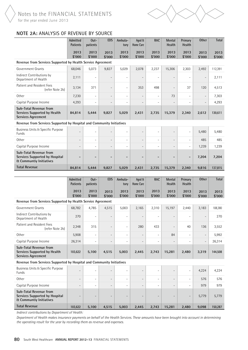

# **NOTE 2a:** analysis of revenue by source

|                                                                                                | Admitted<br>Patients     | $0$ ut-<br>patients      | <b>EDS</b>               | Ambula-<br>tory          | Aged &<br>Home Care      | <b>RAC</b>                   | Mental<br>Health         | Primary<br>Health            | <b>Other</b>             | Total          |
|------------------------------------------------------------------------------------------------|--------------------------|--------------------------|--------------------------|--------------------------|--------------------------|------------------------------|--------------------------|------------------------------|--------------------------|----------------|
|                                                                                                | 2013<br>\$'000           | 2013<br>\$'000           | 2013<br>\$'000           | 2013<br>\$'000           | 2013<br>\$'000           | 2013<br>\$'000               | 2013<br>\$'000           | 2013<br>\$'000               | 2013<br>\$'000           | 2013<br>\$'000 |
| Revenue from Services Supported by Health Service Agreement                                    |                          |                          |                          |                          |                          |                              |                          |                              |                          |                |
| Government Grants                                                                              | 68,046                   | 5,073                    | 9,827                    | 5,029                    | 2,078                    | 2,237                        | 15,306                   | 2,303                        | 2,492                    | 112,391        |
| Indirect Contributions by<br>Department of Health                                              | 2,111                    |                          | $\overline{a}$           | $\overline{a}$           |                          | $\overline{a}$               |                          | $\overline{a}$               |                          | 2,111          |
| Patient and Resident Fees<br>(refer Note 2b)                                                   | 3,134                    | 371                      | $\overline{a}$           | $\overline{\phantom{a}}$ | 353                      | 498                          | $\overline{a}$           | 37                           | 120                      | 4,513          |
| Other                                                                                          | 7,230                    | $\overline{\phantom{0}}$ | $\overline{a}$           | $\overline{\phantom{a}}$ |                          | $\qquad \qquad -$            | 73                       | $\overline{\phantom{a}}$     | $\overline{\phantom{a}}$ | 7,303          |
| Capital Purpose Income                                                                         | 4,293                    | $\overline{\phantom{0}}$ | $\overline{a}$           | $\overline{a}$           | $\overline{a}$           | $\overline{a}$               |                          | $\overline{\phantom{0}}$     | $\overline{\phantom{a}}$ | 4,293          |
| Sub-Total Revenue from<br>Services Supported by Health<br>Services Agreement                   | 84,814                   | 5,444                    | 9,827                    | 5,029                    | 2,431                    | 2,735                        | 15,379                   | 2,340                        | 2,612                    | 130,611        |
| Revenue from Services Supported by Hospital and Community Initiatives                          |                          |                          |                          |                          |                          |                              |                          |                              |                          |                |
| Business Units & Specific Purpose<br>Funds                                                     |                          |                          |                          |                          |                          |                              |                          | $\overline{\phantom{0}}$     | 5,480                    | 5,480          |
| <b>Other</b>                                                                                   | $\overline{\phantom{a}}$ | $\overline{\phantom{0}}$ | $\overline{a}$           | $\overline{\phantom{a}}$ | $\overline{\phantom{a}}$ | $\qquad \qquad -$            | $\overline{\phantom{a}}$ | $\overline{\phantom{0}}$     | 485                      | 485            |
| Capital Purpose Income                                                                         |                          |                          | $\overline{\phantom{a}}$ | $\overline{a}$           |                          | $\qquad \qquad -$            |                          | $\overline{\phantom{0}}$     | 1,239                    | 1,239          |
| Sub-Total Revenue from<br>Services Supported by Hospital<br><b>&amp; Communtiy Initiatives</b> |                          |                          | -                        |                          |                          | -                            |                          | $\overline{\phantom{a}}$     | 7,204                    | 7,204          |
| <b>Total Revenue</b>                                                                           | 84,814                   | 5,444                    | 9,827                    | 5,029                    | 2,431                    | 2,735                        | 15,379                   | 2,340                        | 9,816                    | 137,815        |
|                                                                                                |                          |                          |                          |                          |                          |                              |                          |                              |                          |                |
|                                                                                                |                          |                          |                          |                          |                          |                              |                          |                              |                          |                |
|                                                                                                | Admitted<br>Patients     | $0$ ut-<br>patients      | <b>EDS</b>               | Ambula-<br>tory          | Aged &<br>Home Care      | <b>RAC</b>                   | Mental<br>Health         | Primary<br>Health            | <b>Other</b>             | Total          |
|                                                                                                | 2013<br>\$'000           | 2013<br>\$'000           | 2013<br>\$'000           | 2013<br>\$'000           | 2013<br>\$'000           | 2013<br>\$'000               | 2013<br>\$'000           | 2013<br>\$'000               | 2013<br>\$'000           | 2013<br>\$'000 |
| Revenue from Services Supported by Health Service Agreement                                    |                          |                          |                          |                          |                          |                              |                          |                              |                          |                |
| Government Grants                                                                              | 68,782                   | 4,785                    | 4,515                    | 5,003                    | 2,165                    | 2,310                        | 15,197                   | 2,440                        | 3,183                    | 108,380        |
| Indirect Contributions by<br>Department of Health                                              | 270                      |                          |                          |                          |                          | $\overline{a}$               |                          |                              |                          | 270            |
| Patient and Resident Fees<br>(refer Note 2b)                                                   | 2,348                    | 315                      | $\qquad \qquad -$        | $\overline{\phantom{a}}$ | 280                      | 433                          |                          | 40                           | 136                      | 3,552          |
| Other                                                                                          | 5,908                    | $\overline{\phantom{0}}$ | $\qquad \qquad -$        | $\overline{\phantom{a}}$ |                          | $\overline{\phantom{0}}$     | 84                       | $\qquad \qquad \blacksquare$ | $\overline{\phantom{a}}$ | 5,992          |
| Capital Purpose Income                                                                         | 26,314                   | $\overline{a}$           | $\overline{\phantom{0}}$ | $\overline{a}$           | $\overline{\phantom{a}}$ | $\overline{\phantom{0}}$     |                          | $\overline{a}$               | $\overline{\phantom{a}}$ | 26,314         |
| Sub-Total Revenue from<br>Services Supported by Health<br>Services Agreement                   | 103,622                  | 5,100                    | 4,515                    | 5,003                    | 2,445                    | 2,743                        | 15,281                   | 2,480                        | 3,319                    | 144,508        |
| Revenue from Services Supported by Hospital and Community Initiatives                          |                          |                          |                          |                          |                          |                              |                          |                              |                          |                |
| <b>Business Units &amp; Specific Purpose</b><br>Funds                                          |                          | $\overline{a}$           | $\overline{a}$           | $\overline{a}$           |                          | $\overline{a}$               |                          | $\overline{\phantom{a}}$     | 4,224                    | 4,224          |
| Other                                                                                          | $\overline{\phantom{a}}$ | $\overline{a}$           | $\qquad \qquad -$        | $\overline{\phantom{a}}$ | $\overline{\phantom{a}}$ | $\frac{1}{2}$                | $\overline{\phantom{a}}$ | $\overline{\phantom{a}}$     | 576                      | 576            |
| Capital Purpose Income                                                                         |                          | $\overline{\phantom{0}}$ | $\overline{a}$           | $\overline{a}$           |                          | $\qquad \qquad \blacksquare$ |                          | $\overline{\phantom{a}}$     | 979                      | 979            |
| Sub-Total Revenue from<br>Services Supported by Hospital<br><b>&amp; Communtiy Initiatives</b> | $\overline{\phantom{a}}$ | $\overline{a}$           | $\overline{a}$           | $\overline{\phantom{a}}$ | $\overline{a}$           | $\overline{a}$               |                          | $\overline{a}$               | 5,779                    | 5,779          |

*Indirect contributions by Department of Health:*

*Department of Health makes insurance payments on behalf of the Health Services. These amounts have been brought into account in determining the operating result for the year by recording them as revenue and expenses.*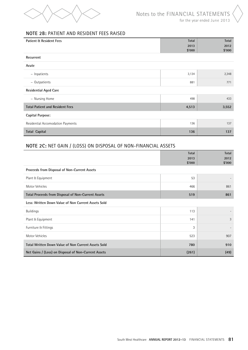

# **NOTE 2B:** PATIENT AND RESIDENT FEES RAISED

| <b>Patient &amp; Resident Fees</b>     | <b>Total</b> | Total  |
|----------------------------------------|--------------|--------|
|                                        | 2013         | 2012   |
|                                        | \$'000       | \$'000 |
| Recurrent                              |              |        |
| Acute                                  |              |        |
| - Inpatients                           | 3,134        | 2,348  |
| - Outpatients                          | 881          | 771    |
| <b>Residential Aged Care</b>           |              |        |
| - Nursing Home                         | 498          | 433    |
| <b>Total Patient and Resident Fees</b> | 4,513        | 3,552  |
| Capital Purpose:                       |              |        |
| Residential Accomodation Payments      | 136          | 137    |
| <b>Total Capital</b>                   | 136          | 137    |

# **NOTE 2C:** Net Gain / (Loss) on Disposal of Non-Financial Assets

|                                                            | Total          | Total          |
|------------------------------------------------------------|----------------|----------------|
|                                                            | 2013<br>\$'000 | 2012<br>\$'000 |
| Proceeds from Disposal of Non-Current Assets               |                |                |
| Plant & Equipment                                          | 53             |                |
| Motor Vehicles                                             | 466            | 861            |
| <b>Total Proceeds from Disposal of Non-Current Assets</b>  | 519            | 861            |
| Less: Written Down Value of Non Current Assets Sold        |                |                |
| <b>Buildings</b>                                           | 113            |                |
| Plant & Equipment                                          | 141            | 3              |
| Furniture & Fittings                                       | 3              |                |
| Motor Vehicles                                             | 523            | 907            |
| <b>Total Written Down Value of Non Current Assets Sold</b> | 780            | 910            |
| Net Gains / (Loss) on Disposal of Non-Current Assets       | (261)          | (49)           |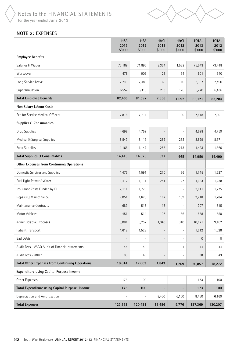



# **NOTE 3:** EXPENSES

|                                                        | <b>HSA</b><br>2013<br>\$'000 | <b>HSA</b><br>2012<br>\$'000 | <b>H&amp;CI</b><br>2013<br>\$'000 | <b>H&amp;CI</b><br>2012<br>\$'000 | <b>TOTAL</b><br>2013<br>\$'000 | <b>TOTAL</b><br>2012<br>\$'000 |
|--------------------------------------------------------|------------------------------|------------------------------|-----------------------------------|-----------------------------------|--------------------------------|--------------------------------|
| <b>Employee Benefits</b>                               |                              |                              |                                   |                                   |                                |                                |
| Salaries & Wages                                       | 73,189                       | 71,896                       | 2,354                             | 1,522                             | 75,543                         | 73,418                         |
| Workcover                                              | 478                          | 906                          | 23                                | 34                                | 501                            | 940                            |
| Long Service Leave                                     | 2,241                        | 2,480                        | 66                                | 10                                | 2,307                          | 2,490                          |
| Superannuation                                         | 6,557                        | 6,310                        | 213                               | 126                               | 6,770                          | 6,436                          |
| <b>Total Employee Benefits</b>                         | 82,465                       | 81,592                       | 2,656                             | 1,692                             | 85,121                         | 83,284                         |
| Non Salary Labour Costs                                |                              |                              |                                   |                                   |                                |                                |
| Fee for Service Medical Officers                       | 7,818                        | 7,711                        | $\overline{a}$                    | 190                               | 7,818                          | 7,901                          |
| <b>Supplies &amp; Consumables</b>                      |                              |                              |                                   |                                   |                                |                                |
| Drug Supplies                                          | 4,698                        | 4,759                        | $\overline{\phantom{0}}$          | $\overline{\phantom{0}}$          | 4,698                          | 4,759                          |
| Medical & Surgical Supplies                            | 8,547                        | 8,119                        | 282                               | 252                               | 8,829                          | 8,371                          |
| Food Supplies                                          | 1,168                        | 1,147                        | 255                               | 213                               | 1,423                          | 1,360                          |
| <b>Total Supplies &amp; Consumables</b>                | 14,413                       | 14,025                       | 537                               | 465                               | 14,950                         | 14,490                         |
| <b>Other Expenses from Continuing Operations</b>       |                              |                              |                                   |                                   |                                |                                |
| Domestic Services and Supplies                         | 1,475                        | 1,591                        | 270                               | 36                                | 1,745                          | 1,627                          |
| Fuel Light Power & Water                               | 1,412                        | 1,111                        | 241                               | 127                               | 1,653                          | 1,238                          |
| Insurance Costs Funded by DH                           | 2,111                        | 1,775                        | $\overline{0}$                    | $\overline{\phantom{a}}$          | 2,111                          | 1,775                          |
| Repairs & Maintenance                                  | 2,051                        | 1,625                        | 167                               | 159                               | 2,218                          | 1,784                          |
| Maintenance Contracts                                  | 689                          | 515                          | 18                                | $\overline{\phantom{a}}$          | 707                            | 515                            |
| Motor Vehicles                                         | 451                          | 514                          | 107                               | 36                                | 558                            | 550                            |
| Administrative Expenses                                | 9,081                        | 8,252                        | 1,040                             | 910                               | 10,121                         | 9,162                          |
| Patient Transport                                      | 1,612                        | 1,528                        | $\overline{\phantom{0}}$          | $\overline{\phantom{a}}$          | 1,612                          | 1,528                          |
| <b>Bad Debts</b>                                       |                              | $\overline{a}$               | $\overline{\phantom{0}}$          | $\qquad \qquad \blacksquare$      | $\mathbf 0$                    | $\mathbf{0}$                   |
| Audit Fees - VAGO Audit of Financial statements        | 44                           | 43                           | $\overline{\phantom{a}}$          | 1                                 | 44                             | 44                             |
| Audit Fees - Other                                     | 88                           | 49                           | $\overline{\phantom{a}}$          | $\qquad \qquad \blacksquare$      | 88                             | 49                             |
| <b>Total Other Expenses from Continuing Operations</b> | 19,014                       | 17,003                       | 1,843                             | 1,269                             | 20,857                         | 18,272                         |
| <b>Expenditure using Capital Purpose Income</b>        |                              |                              |                                   |                                   |                                |                                |
| Other Expenses                                         | 173                          | 100                          |                                   | $\overline{\phantom{0}}$          | 173                            | 100                            |
| Total Expenditure using Capital Purpose Income         | 173                          | 100                          |                                   | $\overline{\phantom{0}}$          | 173                            | 100                            |
| Depreciation and Amortisation                          |                              | $\qquad \qquad -$            | 8,450                             | 6,160                             | 8,450                          | 6,160                          |
| <b>Total Expenses</b>                                  | 123,883                      | 120,431                      | 13,486                            | 9,776                             | 137,369                        | 130,207                        |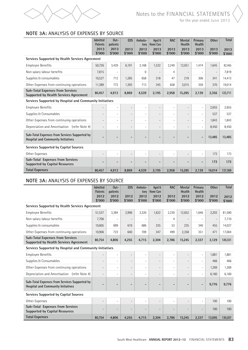

# **NOTE 3a:** analysis of EXPENSES by source

|                                                                                            | Admitted<br>Patients         | $0$ ut-<br>patients          | <b>EDS</b>                   | Ambula-<br>tory          | Aged &<br><b>Home Care</b> | <b>RAC</b>               | <b>Mental</b><br>Health  | Primary<br>Health        | <b>Other</b>             | <b>Total</b>   |
|--------------------------------------------------------------------------------------------|------------------------------|------------------------------|------------------------------|--------------------------|----------------------------|--------------------------|--------------------------|--------------------------|--------------------------|----------------|
|                                                                                            | 2013<br>\$'000               | 2013<br>\$'000               | 2013<br>\$'000               | 2013<br>\$'000           | 2013<br>\$'000             | 2013<br>\$'000           | 2013<br>\$'000           | 2013<br>\$'000           | 2013<br>\$'000           | 2013<br>\$'000 |
| Services Supported by Health Services Agreement                                            |                              |                              |                              |                          |                            |                          |                          |                          |                          |                |
| <b>Employee Benefits</b>                                                                   | 50,726                       | 3,429                        | 6,191                        | 3,168                    | 1,532                      | 2,249                    | 12,051                   | 1,474                    | 1,645                    | 82,465         |
| Non salary labour benefits                                                                 | 7,815                        | $\qquad \qquad \blacksquare$ |                              | $\Omega$                 | $\overline{\phantom{a}}$   | 4                        | $\overline{\phantom{a}}$ | $\overline{\phantom{0}}$ | $\overline{\phantom{a}}$ | 7,819          |
| Supplies & consumables                                                                     | 10,527                       | 712                          | 1,285                        | 658                      | 318                        | 47                       | 219                      | 306                      | 341                      | 14,413         |
| Other Expenses from continuing operations                                                  | 11,389                       | 772                          | 1,393                        | 713                      | 345                        | 658                      | 3,015                    | 359                      | 370                      | 19,014         |
| <b>Sub-Total Expenses from Services</b><br>Supported by Health Services Agreement          | 80,457                       | 4,913                        | 8,869                        | 4,539                    | 2,195                      | 2,958                    | 15,285                   | 2,139                    | 2,356                    | 123,711        |
| Services Supported by Hospital and Community Initiatives                                   |                              |                              |                              |                          |                            |                          |                          |                          |                          |                |
| <b>Employee Benefits</b>                                                                   | $\overline{\phantom{a}}$     | $\overline{a}$               | $\overline{a}$               | $\overline{a}$           | $\overline{\phantom{a}}$   | $\overline{a}$           | $\overline{\phantom{a}}$ | $\overline{\phantom{0}}$ | 2,655                    | 2,655          |
| Supplies & Consumables                                                                     | $\qquad \qquad -$            | $\overline{\phantom{0}}$     | $\overline{\phantom{a}}$     | $\overline{\phantom{m}}$ | $\overline{\phantom{a}}$   | $\overline{\phantom{a}}$ | $\overline{\phantom{a}}$ | $\overline{\phantom{a}}$ | 537                      | 537            |
| Other Expenses from continuing operations                                                  | $\overline{\phantom{a}}$     | $\overline{a}$               | $\overline{\phantom{a}}$     | $\overline{\phantom{a}}$ | $\overline{\phantom{a}}$   | $\overline{\phantom{a}}$ | $\overline{\phantom{a}}$ | $\overline{a}$           | 1,843                    | 1,843          |
| Depreciation and Amortisation (refer Note 4)                                               | $\overline{\phantom{0}}$     | $\overline{\phantom{0}}$     | $\overline{\phantom{a}}$     | $\overline{a}$           | $\overline{\phantom{a}}$   | $\overline{a}$           | $\overline{\phantom{a}}$ | $\overline{\phantom{0}}$ | 8,450                    | 8,450          |
| Sub-Total Expenses from Services Supported by<br><b>Hospital and Community Initiatives</b> | $\overline{\phantom{0}}$     |                              | -                            |                          | $\overline{\phantom{a}}$   | -                        | $\overline{\phantom{a}}$ | $\overline{\phantom{a}}$ | 13,485                   | 13,485         |
| <b>Services Supported by Capital Sources</b>                                               |                              |                              |                              |                          |                            |                          |                          |                          |                          |                |
| Other Expenses                                                                             | $\overline{a}$               | $\overline{\phantom{0}}$     | $\overline{\phantom{a}}$     | $\overline{\phantom{m}}$ | $\overline{\phantom{a}}$   | $\overline{\phantom{a}}$ | $\overline{\phantom{a}}$ | $\overline{a}$           | 173                      | 173            |
| Sub-Total Expenses from Services<br><b>Supported by Capital Resources</b>                  | $\qquad \qquad \blacksquare$ |                              | $\qquad \qquad \blacksquare$ |                          | $\overline{\phantom{0}}$   | $\qquad \qquad$          | $\overline{\phantom{a}}$ | $\overline{\phantom{0}}$ | 173                      | 173            |
| <b>Total Expenses</b>                                                                      | 80,457                       | 4,913                        | 8,869                        | 4,539                    | 2,195                      | 2,958                    | 15,285                   | 2,139                    | 16,014                   | 137,369        |

# **NOTE 3a:** analysis of EXPENSES by source

|                                                                                            | Admitted<br>Patients     | $Out-$<br>patients       | <b>EDS</b>               | Ambula-<br>tory          | Aged &<br>Home Care      | <b>RAC</b>               | Mental<br>Health         | Primary<br>Health            | <b>Other</b>             | <b>Total</b>   |
|--------------------------------------------------------------------------------------------|--------------------------|--------------------------|--------------------------|--------------------------|--------------------------|--------------------------|--------------------------|------------------------------|--------------------------|----------------|
|                                                                                            | 2012<br>\$'000           | 2012<br>\$'000           | 2012<br>\$'000           | 2012<br>\$'000           | 2012<br>\$'000           | 2012<br>\$'000           | 2012<br>\$'000           | 2012<br>\$'000               | 2012<br>\$'000           | 2012<br>\$'000 |
| Services Supported by Health Services Agreement                                            |                          |                          |                          |                          |                          |                          |                          |                              |                          |                |
| <b>Employee Benefits</b>                                                                   | 51,537                   | 3,384                    | 2,996                    | 3,320                    | 1,622                    | 2,230                    | 12,652                   | 1,646                        | 2,203                    | 81,590         |
| Non salary labour benefits                                                                 | 7,706                    | $\overline{\phantom{a}}$ | $\overline{\phantom{a}}$ | $\overline{\phantom{a}}$ | $\overline{\phantom{a}}$ | 4                        | $\overline{\phantom{a}}$ | $\overline{a}$               | $\overline{\phantom{a}}$ | 7,710          |
| Supplies & consumables                                                                     | 10,605                   | 699                      | 619                      | 686                      | 335                      | 53                       | 235                      | 340                          | 455                      | 14,027         |
| Other Expenses from continuing operations                                                  | 10,906                   | 723                      | 640                      | 709                      | 347                      | 499                      | 2,358                    | 351                          | 471                      | 17,004         |
| <b>Sub-Total Expenses from Services</b><br><b>Supported by Health Services Agreement</b>   | 80,754                   | 4,806                    | 4,255                    | 4,715                    | 2,304                    | 2,786                    | 15,245                   | 2,337                        | 3,129                    | 120,331        |
| Services Supported by Hospital and Community Initiatives                                   |                          |                          |                          |                          |                          |                          |                          |                              |                          |                |
| <b>Employee Benefits</b>                                                                   | $\overline{\phantom{a}}$ | $\overline{a}$           | $\overline{\phantom{a}}$ | $\overline{a}$           | $\overline{\phantom{a}}$ | $\overline{\phantom{a}}$ | $\overline{a}$           | $\overline{\phantom{m}}$     | 1,881                    | 1,881          |
| Supplies & Consumables                                                                     | $\qquad \qquad -$        | $\overline{\phantom{a}}$ | $\overline{\phantom{a}}$ | $\overline{\phantom{a}}$ | $\overline{\phantom{0}}$ | $\overline{\phantom{a}}$ | $\overline{a}$           | $\overline{a}$               | 466                      | 466            |
| Other Expenses from continuing operations                                                  | $\overline{\phantom{a}}$ | $\overline{\phantom{0}}$ | $\overline{\phantom{a}}$ | $\overline{\phantom{a}}$ | $\overline{\phantom{a}}$ | $\overline{a}$           | $\overline{\phantom{a}}$ | $\overline{\phantom{a}}$     | 1,269                    | 1,269          |
| Depreciation and Amortisation (refer Note 4)                                               | $\overline{\phantom{a}}$ | $\overline{\phantom{0}}$ | $\overline{\phantom{a}}$ | $\overline{\phantom{a}}$ | $\overline{\phantom{a}}$ | $\overline{a}$           | $\overline{\phantom{a}}$ | $\overline{a}$               | 6,160                    | 6,160          |
| Sub-Total Expenses from Services Supported by<br><b>Hospital and Community Initiatives</b> | ۰                        |                          | -                        |                          | $\qquad \qquad$          |                          | -                        | $\qquad \qquad \blacksquare$ | 9,776                    | 9,776          |
| Services Supported by Capital Sources                                                      |                          |                          |                          |                          |                          |                          |                          |                              |                          |                |
| Other Expenses                                                                             |                          | $\overline{\phantom{0}}$ | $\overline{\phantom{a}}$ | $\overline{\phantom{a}}$ | $\overline{\phantom{0}}$ | $\overline{a}$           | $\overline{\phantom{a}}$ | $\overline{a}$               | 100                      | 100            |
| Sub-Total Expenses from Services<br><b>Supported by Capital Resources</b>                  | $\overline{a}$           |                          | $\overline{a}$           | $\overline{a}$           | $\overline{a}$           | $\overline{a}$           | $\overline{a}$           |                              | 100                      | 100            |
| <b>Total Expenses</b>                                                                      | 80.754                   | 4.806                    | 4,255                    | 4,715                    | 2,304                    | 2,786                    | 15,245                   | 2,337                        | 13,005                   | 130,207        |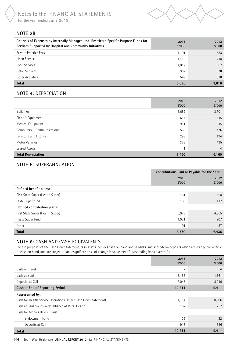

# **NOTE 3B**

| Analysis of Expenses by Internally Managed and Restricted Specific Purpose Funds for<br>Services Supported by Hospital and Community Initiatives | 2013<br>\$'000 | 2012<br>\$'000 |
|--------------------------------------------------------------------------------------------------------------------------------------------------|----------------|----------------|
| Private Practice Fees                                                                                                                            | 1,101          | 683            |
| Linen Service                                                                                                                                    | 1,412          | 710            |
| Food Services                                                                                                                                    | 1,017          | 967            |
| Retail Services                                                                                                                                  | 957            | 678            |
| Other Activities                                                                                                                                 | 549            | 578            |
| <b>Total</b>                                                                                                                                     | 5,036          | 3,616          |

# **NOTE 4**: DEPRECIATION

|                            | 2013<br>\$'000 | 2012<br>\$'000 |
|----------------------------|----------------|----------------|
| Buildings                  | 5,682          | 3,701          |
| Plant & Equipment          | 617            | 445            |
| Medical Equipment          | 911            | 845            |
| Computers & Communications | 568            | 476            |
| Furniture and Fittings     | 293            | 194            |
| Motor Vehicles             | 378            | 495            |
| Leased Assets              |                | $\overline{4}$ |
| <b>Total Depreciation</b>  | 8,450          | 6,160          |

# **NOTE 5**: SUPERANNUATION

|                                  | Contributions Paid or Payable for the Year |        |  |  |
|----------------------------------|--------------------------------------------|--------|--|--|
|                                  | 2013                                       | 2012   |  |  |
|                                  | \$'000                                     | \$'000 |  |  |
| Defined benefit plans:           |                                            |        |  |  |
| First State Super (Health Super) | 451                                        | 460    |  |  |
| State Super fund                 | 109                                        | 117    |  |  |
| Defined contribution plans:      |                                            |        |  |  |
| First State Super (Health Super) | 5,078                                      | 4,865  |  |  |
| Hesta Super fund                 | 1,031                                      | 907    |  |  |
| Other                            | 101                                        | 87     |  |  |
| <b>Total</b>                     | 6,770                                      | 6,436  |  |  |

# **NOTE 6**: CASH AND CASH EQUIVALENTS

For the purposes of the Cash Flow Statement, cash assets includes cash on hand and in banks, and short-term deposits which are readily convertible to cash on hand, and are subject to an insignificant risk of change in value, net of outstanding bank overdrafts.

|                                                                 | 2013<br>\$'000 | 2012<br>\$'000 |
|-----------------------------------------------------------------|----------------|----------------|
| Cash on Hand                                                    | 7              | $\overline{4}$ |
| Cash at Bank                                                    | 5,158          | 1,361          |
| Deposits at Call                                                | 7,046          | 8,046          |
| Cash at End of Reporting Period                                 | 12,211         | 9,411          |
| Represented by:                                                 |                |                |
| Cash for Health Service Operations (as per Cash Flow Statement) | 11,114         | 8,306          |
| Cash at Bank South West Alliance of Rural Health                | 162            | 257            |
| Cash for Monies Held in Trust                                   |                |                |
| - Endowment Fund                                                | 22             | 22             |
| - Deposits at Call                                              | 913            | 826            |
| <b>Total</b>                                                    | 12,211         | 9,411          |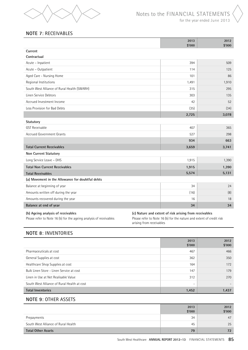

# **NOTE 7**: RECEIVABLES

|                                                  | 2013<br>\$'000 | 2012<br>\$'000 |
|--------------------------------------------------|----------------|----------------|
| Current                                          |                |                |
| Contractual                                      |                |                |
| Acute - Inpatient                                | 394            | 509            |
| Acute - Outpatient                               | 114            | 125            |
| Aged Care - Nursing Home                         | 101            | 86             |
| Regional Institutions                            | 1,491          | 1,910          |
| South West Alliance of Rural Health (SWARH)      | 315            | 295            |
| Linen Service Debtors                            | 303            | 135            |
| Accrued Investment Income                        | 42             | 52             |
| Less Provision for Bad Debts                     | (35)           | (34)           |
|                                                  | 2,725          | 3,078          |
| Statutory                                        |                |                |
| <b>GST Receivable</b>                            | 407            | 365            |
| <b>Accrued Government Grants</b>                 | 527            | 298            |
|                                                  | 934            | 663            |
| <b>Total Current Receivables</b>                 | 3,659          | 3,741          |
| <b>Non Current Statutory</b>                     |                |                |
| Long Service Leave - DHS                         | 1,915          | 1,390          |
| <b>Total Non Current Receivables</b>             | 1,915          | 1,390          |
| <b>Total Receivables</b>                         | 5,574          | 5,131          |
| (a) Movement in the Allowance for doubtful debts |                |                |
| Balance at beginning of year                     | 34             | 24             |
| Amounts written off during the year              | (16)           | (8)            |
| Amounts recovered during the year                | 16             | 18             |
| Balance at end of year                           | 34             | 34             |
|                                                  |                |                |

#### **(b) Ageing analysis of receivables (c) Nature and extent of risk arising from receivables**

Please refer to Note 16 (b) for the ageing analysis of receivables Please refer to Note 16 (b) for the nature and extent of credit risk arising from receivables

# **NOTE 8**: INVENTORIES

|                                             | 2013<br>\$'000           | 2012<br>\$'000 |
|---------------------------------------------|--------------------------|----------------|
| Pharmaceuticals at cost                     | 467                      | 466            |
| General Supplies at cost                    | 362                      | 350            |
| Healthcare Shop Supplies at cost            | 164                      | 172            |
| Bulk Linen Store - Linen Service at cost    | 147                      | 179            |
| Linen in Use at Net Realisable Value        | 312                      | 270            |
| South West Alliance of Rural Health at cost | $\overline{\phantom{a}}$ |                |
| <b>Total Inventories</b>                    | 1,452                    | 1,437          |

# **NOTE 9**: OTHER ASSETS

|                                     | 2013<br>\$'000 | 2012<br>\$'000 |
|-------------------------------------|----------------|----------------|
| Prepayments                         | 34             | 47             |
| South West Alliance of Rural Health | 45             | 25             |
| <b>Total Other Assets</b>           | 79             | 72             |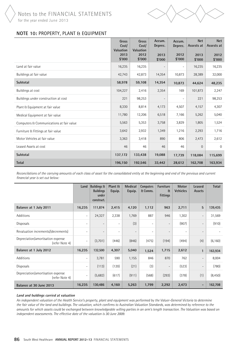

# **NOTE 10:** PROPERTY, PLANT & EQUIPMENT

|                                          | Gross<br>Cost/<br>Valuation<br>2013<br>\$'000 | Gross<br>Cost/<br>Valuation<br>2012<br>\$'000 | Accum.<br>Deprec.<br>2013<br>\$'000 | Accum.<br>Deprec.<br>2012<br>\$'000 | <b>Net</b><br>Assests at<br>2013<br>\$'000 | <b>Net</b><br>Assests at<br>2012<br>\$'000 |
|------------------------------------------|-----------------------------------------------|-----------------------------------------------|-------------------------------------|-------------------------------------|--------------------------------------------|--------------------------------------------|
| Land at fair value                       | 16,235                                        | 16,235                                        | $\overline{\phantom{0}}$            | $\overline{\phantom{a}}$            | 16,235                                     | 16,235                                     |
| Buildings at fair value                  | 42,743                                        | 42,873                                        | 14,354                              | 10,873                              | 28,389                                     | 32,000                                     |
| Subtotal                                 | 58,978                                        | 59,108                                        | 14,354                              | 10,873                              | 44,624                                     | 48,235                                     |
| Buildings at cost                        | 104,227                                       | 2,416                                         | 2,354                               | 169                                 | 101,873                                    | 2,247                                      |
| Buildings under construction at cost     | 221                                           | 98,253                                        | $\overline{\phantom{0}}$            | $\overline{\phantom{a}}$            | 221                                        | 98,253                                     |
| Plant & Equipment at fair value          | 8,330                                         | 8,814                                         | 4,173                               | 4,507                               | 4,157                                      | 4,307                                      |
| Medical Equipment at fair value          | 11,780                                        | 12,206                                        | 6,518                               | 7,166                               | 5,262                                      | 5,040                                      |
| Computers & Communications at fair value | 5,563                                         | 5,353                                         | 3,758                               | 3,829                               | 1,805                                      | 1,524                                      |
| Furniture & Fittings at fair value       | 3,642                                         | 2,932                                         | 1,349                               | 1,216                               | 2,293                                      | 1,716                                      |
| Motor Vehicles at fair value             | 3,363                                         | 3,418                                         | 890                                 | 806                                 | 2,473                                      | 2,612                                      |
| Leased Assets at cost                    | 46                                            | 46                                            | 46                                  | 46                                  | $\overline{0}$                             | $\Omega$                                   |
| Subtotal                                 | 137,172                                       | 133,438                                       | 19,088                              | 17,739                              | 118,084                                    | 115,699                                    |
| <b>Total</b>                             | 196,150                                       | 192,546                                       | 33,442                              | 28,612                              | 162,708                                    | 163,934                                    |

*Reconcilations of the carrying amounts of each class of asset for the consolidated entity at the beginning and end of the previous and current financial year is set out below:*

|                                                     | Land                     | <b>Buildings &amp;</b><br><b>Buildings</b><br>under<br>construct. | Plant &<br>Equip.        | Medical<br>Equip.        | <b>Computers</b><br><b>&amp; Comms.</b> | <b>Furniture</b><br>$\mathbf{a}$<br><b>Fittings</b> | <b>Motor</b><br><b>Vehicles</b> | Leased<br><b>Assets</b>  | Total    |
|-----------------------------------------------------|--------------------------|-------------------------------------------------------------------|--------------------------|--------------------------|-----------------------------------------|-----------------------------------------------------|---------------------------------|--------------------------|----------|
| Balance at 1 July 2011                              | 16,235                   | 111,874                                                           | 2,415                    | 4,120                    | 1,112                                   | 963                                                 | 2,711                           | 5                        | 139,435  |
| Additions                                           | $\overline{\phantom{0}}$ | 24,327                                                            | 2,338                    | 1,769                    | 887                                     | 946                                                 | 1,302                           | $\overline{\phantom{a}}$ | 31,569   |
| Disposals                                           | $\overline{\phantom{0}}$ | $\overline{\phantom{0}}$                                          | $\overline{\phantom{0}}$ | (3)                      | $\overline{\phantom{a}}$                | $\overline{\phantom{a}}$                            | (907)                           | $\overline{\phantom{a}}$ | (910)    |
| Revaluation increments/(decrements)                 | Ξ.                       | $\overline{\phantom{0}}$                                          | $\overline{\phantom{0}}$ | $\overline{\phantom{a}}$ | $\overline{\phantom{a}}$                | $\overline{\phantom{a}}$                            | $\overline{\phantom{a}}$        | $\overline{\phantom{a}}$ |          |
| Depreciation/amortisation expense<br>(refer Note 4) | Ξ.                       | (3,701)                                                           | (446)                    | (846)                    | (475)                                   | (194)                                               | (494)                           | (4)                      | (6, 160) |
| Balance at 1 July 2012                              | 16,235                   | 132,500                                                           | 4,307                    | 5,040                    | 1,524                                   | 1,715                                               | 2,612                           | $\mathbf{1}$             | 163,934  |
| Additions                                           | $\overline{\phantom{0}}$ | 3,781                                                             | 590                      | 1,155                    | 846                                     | 870                                                 | 762                             | $\overline{\phantom{a}}$ | 8,004    |
| Disposals                                           | $\overline{\phantom{0}}$ | (113)                                                             | (120)                    | (21)                     | (3)                                     | $\overline{\phantom{a}}$                            | (523)                           | $\overline{\phantom{a}}$ | (780)    |
| Depreciation/amortisation expense<br>(refer Note 4) | $\overline{\phantom{a}}$ | (5,682)                                                           | (617)                    | (911)                    | (568)                                   | (293)                                               | (378)                           | (1)                      | (8, 450) |
| Balance at 30 June 2013                             | 16,235                   | 130,486                                                           | 4,160                    | 5,263                    | 1,799                                   | 2,292                                               | 2,473                           | -                        | 162,708  |

#### **Land and buldings carried at valuation**

*An independent valuation of the Health Service's property, plant and equipment was performed by the Valuer-General Victoria to determine the fair value of the land and buildings. The valuation, which confirms to Australian Valuation Standards, was determined by reference to the amounts for which assets could be exchanged between knowledgeable willing parties in an arm's length transaction. The Valuation was based on independent assessments. The effective date of the valuation is 30 June 2009.*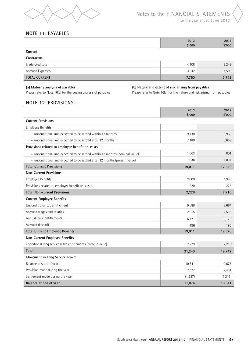

# **NOTE 11**: PAYABLES

|             | 2013<br>\$'000 | 2012<br>\$'000 |
|-------------|----------------|----------------|
| Current     |                |                |
| Contractual |                |                |
|             |                |                |

| <b>Trade Creditors</b> | 4,108 | 3,242 |
|------------------------|-------|-------|
| Accrued Expenses       | 3,642 | 4.500 |
| <b>TOTAL CURRENT</b>   | 7,750 | 7,742 |

**(a) Maturity analysis of payables (b) Nature and extent of risk arising from payables**

Please refer to Note 16(c) for the ageing analysis of payables Please refer to Note 16(c) for the nature and risk arising from payables

# **NOTE 12**: PROVISIONS

|                                                                             | 2013<br>\$'000 | 2012<br>\$'000 |
|-----------------------------------------------------------------------------|----------------|----------------|
| <b>Current Provisions</b>                                                   |                |                |
| <b>Employee Benefits</b>                                                    |                |                |
| - unconditional and expected to be settled within 12 months                 | 9,730          | 8,969          |
| - unconditional and expected to be settled after 12 months                  | 7,180          | 6,659          |
| Provisions related to employee benefit on-costs                             |                |                |
| - unconditional and expected to be settled within 12 months (nominal value) | 1,063          | 801            |
| - unconditional and expected to be settled after 12 months (present value)  | 1,038          | 1,097          |
| <b>Total Current Provisions</b>                                             | 19,011         | 17,526         |
| <b>Non-Current Provisions</b>                                               |                |                |
| <b>Employee Benefits</b>                                                    | 2,000          | 1,988          |
| Provisions related to employee benefit on-costs                             | 229            | 228            |
| <b>Total Non-current Provisions</b>                                         | 2,229          | 2,216          |
| <b>Current Employee Benefits</b>                                            |                |                |
| Unconditional LSL entitlement                                               | 9,689          | 8,664          |
| Accrued wages and salaries                                                  | 2,655          | 2,538          |
| Annual leave entitlements                                                   | 6,471          | 6,128          |
| Accrued days off                                                            | 196            | 196            |
| <b>Total Current Employee Benefits</b>                                      | 19,011         | 17,526         |
| <b>Non-Current Employee Benefits</b>                                        |                |                |
| Conditional long service leave entitlements (present value)                 | 2,229          | 2,216          |
| <b>Total</b>                                                                | 21,240         | 19,742         |
| Movement in Long Service Leave:                                             |                |                |
| Balance at start of year                                                    | 10,841         | 9,673          |
| Provision made during the year                                              | 2,322          | 2,481          |
| Settlement made during the year                                             | (1, 287)       | (1, 313)       |
| Balance at end of year                                                      | 11,876         | 10,841         |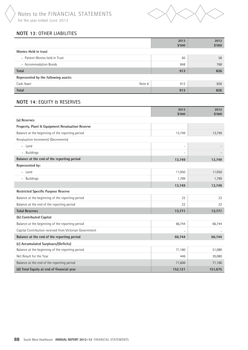Notes to the FINANCIAL STATEMENTS for the year ended June 2013



# **NOTE 13**: OTHER LIABILITIES

|                                      | 2013<br>\$'000 | 2012<br>\$'000 |
|--------------------------------------|----------------|----------------|
| Monies Held in trust                 |                |                |
| - Patient Monies held in Trust       | 65             | 58             |
| - Accommodation Bonds                | 848            | 768            |
| <b>Total</b>                         | 913            | 826            |
| Represented by the following assets: |                |                |
| Note 6<br>Cash Asset                 | 913            | 826            |
| <b>Total</b>                         | 913            | 826            |

# **NOTE 14**: EQUITY & RESERVES

|                                                         | 2013<br>\$'000 | 2012<br>\$'000 |
|---------------------------------------------------------|----------------|----------------|
| (a) Reserves                                            |                |                |
| Property, Plant & Equipment Revaluation Reserve         |                |                |
| Balance at the beginning of the reporting period        | 13,749         | 13,749         |
| Revaluation Increment/ (Decrements)                     |                |                |
| $-$ Land                                                | $\overline{a}$ |                |
| - Buildings                                             | $\overline{a}$ |                |
| Balance at the end of the reporting period              | 13,749         | 13,749         |
| Represented by:                                         |                |                |
| - Land                                                  | 11,950         | 11,950         |
| - Buildings                                             | 1,799          | 1,799          |
|                                                         | 13,749         | 13,749         |
| <b>Restricted Specific Purpose Reserve</b>              |                |                |
| Balance at the beginning of the reporting period        | 22             | 22             |
| Balance at the end of the reporting period              | 22             | 22             |
| <b>Total Reserves</b>                                   | 13,771         | 13,771         |
| (b) Contributed Capital                                 |                |                |
| Balance at the beginning of the reporting period        | 66,744         | 66,744         |
| Capital Contribution received from Victorian Government |                |                |
| Balance at the end of the reporting period              | 66,744         | 66,744         |
| (c) Accumulated Surpluses/(Deficits)                    |                |                |
| Balance at the beginning of the reporting period        | 71,160         | 51,080         |
| Net Result for the Year                                 | 446            | 20,080         |
| Balance at the end of the reporting period              | 71,606         | 71,160         |
| (d) Total Equity at end of financial year               | 152,121        | 151,675        |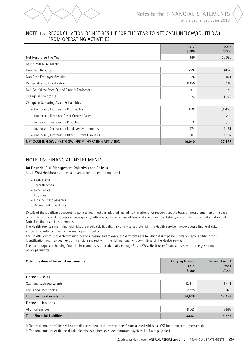

# **NOTE 15**: Reconciliation of net result for the year to net cash inflow/(outflow) from operating activities

|                                                       | 2013<br>\$'000 | 2012<br>\$'000 |
|-------------------------------------------------------|----------------|----------------|
| Net Result for the Year                               | 446            | 20,080         |
| NON CASH MOVEMENTS                                    |                |                |
| Non Cash Revenue                                      | (253)          | (684)          |
| Non Cash Employee Benefits                            | 525            | 821            |
| Depreciation & Amortisation                           | 8,450          | 6,160          |
| Net (Gain)/Loss from Sale of Plant & Equipment        | 261            | 49             |
| Change in Inventories                                 | (15)           | (150)          |
| Change in Operating Assets & Liabilities              |                |                |
| - (Increase) / Decrease in Receivables                | (450)          | (1,658)        |
| - (Increase) / Decrease Other Current Assets          | 7              | 239            |
| - Increase / (Decrease) in Payables                   | 8              | (25)           |
| - Increase / (Decrease) in Employee Entitlements      | 974            | 1,151          |
| - (Increase) / Decrease in Other Current Liabilities  | 87             | 1,182          |
| NET CASH INFLOW / (OUTFLOW) FROM OPERATING ACTIVITIES | 10,040         | 27,165         |

# **NOTE 16**: FINANCIAL INSTRUMENTS

#### **(a) Financial Risk Management Objectives and Policies**

South West Healthcare's principal financial instruments comprise of:

- − Cash assets
- − Term Deposits
- − Receivables
- − Payables
- − Finance Lease payables
- − Accommodation Bonds

Details of the significant accounting policies and methods adopted, including the criteria for recognition, the basis of measurement and the basis on which income and expenses are recognised, with respect to each class of financial asset, financial liability and equity instrument are discosed in Note 1 to the financial statements.

The Health Service's main financial risks are credit risk, liquidity risk and interest rate risk. The Health Service manages these financial risks in accordance with its financial risk management policy.

The Health Service uses different methods to measure and manage the different risks to which it is exposed. Primary responsibility for the identification and management of financial risks rest with the risk management committee of the Health Service.

The main purpose in holding financial instruments is to prudentially manage South West Healthcare financial risks within the government policy parameters.

| Categorisation of financial instruments | <b>Carrying Amount</b><br>2013<br>\$'000 | <b>Carrying Amount</b><br>2012<br>\$'000 |
|-----------------------------------------|------------------------------------------|------------------------------------------|
| <b>Financial Assets</b>                 |                                          |                                          |
| Cash and cash equivalents               | 12,211                                   | 9,411                                    |
| Loans and Receivables                   | 2,725                                    | 3,078                                    |
| Total Financial Assets (i)              | 14,936                                   | 12,489                                   |
| <b>Financial Liabilities</b>            |                                          |                                          |
| At amortised cost                       | 8,663                                    | 8,568                                    |
| Total Financial Liabilities (ii)        | 8,663                                    | 8,568                                    |

i) The total amount of financial assets disclosed here excludes statutory financial receivables (i.e. GST input tax credit recoverable)

ii) The total amount of financial liabilities disclosed here excludes statutory payables (i.e. Taxes payables)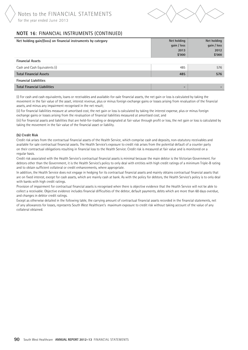

# **NOTE 16**: FINANCIAL INSTRUMENTS (continued)

| Net holding gain/(loss) on financial instruments by category | Net holding<br>gain / loss<br>2013<br>\$'000 | Net holding<br>gain / loss<br>2012<br>\$'000 |
|--------------------------------------------------------------|----------------------------------------------|----------------------------------------------|
| <b>Financial Assets</b>                                      |                                              |                                              |
| Cash and Cash Equivalents (i)                                | 485                                          | 576                                          |
| <b>Total Financial Assets</b>                                | 485                                          | 576                                          |
| <b>Financial Liabilities</b>                                 |                                              |                                              |
| <b>Total Financial Liabilities</b>                           | $\overline{\phantom{0}}$                     |                                              |

(i) For cash and cash equivalents, loans or receivables and available-for-sale financial assets, the net gain or loss is calculated by taking the movement in the fair value of the asset, interest revenue, plus or minus foreign exchange gains or losses arising from revaluation of the financial assets, and minus any impairment recognised in the net result;

(ii) For financial liabilities measure at amortised cost, the net gain or loss is calculated by taking the interest expense, plus or minus foreign exchange gains or losses arising from the revaluation of financial liabilities measured at amortised cost; and

(iii) For financial assets and liabilities that are held-for-trading or designated at fair value through profit or loss, the net gain or loss is calculated by taking the movement in the fair value of the financial asset or liability.

#### **(b) Credit Risk**

Credit risk arises from the contractual financial assets of the Health Service, which comprise cash and deposits, non-statutory receivables and available for sale contractual financial assets. The Health Service's exposure to credit risk arises from the potential default of a counter party on their contractual obligations resulting in financial loss to the Health Service. Credit risk is measured at fair value and is monitored on a regular basis.

Credit risk associated with the Health Service's contractual financial assets is minimal because the main debtor is the Victorian Government. For debtors other than the Government, it is the Health Service's policy to only deal with entities with high credit ratings of a minimum Triple-B rating and to obtain sufficient collateral or credit enhancements, where appropriate.

In addition, the Health Service does not engage in hedging for its contractual financial assets and mainly obtains contractual financial assets that are on fixed interest, except for cash assets, which are mainly cash at bank. As with the policy for debtors, the Health Service's policy is to only deal with banks with high credit ratings.

Provision of impairment for contractual financial assets is recognised when there is objective evidence that the Health Service will not be able to collect a receivable. Objective evidence includes financial difficulties of the debtor, default payments, debts which are more than 60 days overdue, and changes in debtor credit ratings.

Except as otherwise detailed in the following table, the carrying amount of contractual financial assets recorded in the financial statements, net of any allowances for losses, represents South West Healthcare's maximum exposure to credit risk without taking account of the value of any collateral obtained.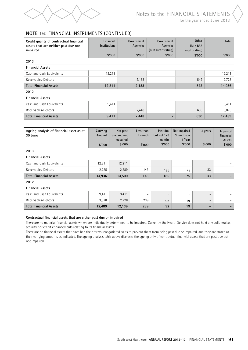

#### for the year ended June 2013

# **NOTE 16**: FINANCIAL INSTRUMENTS (continued)

| Credit quality of contractual financial<br>assets that are neither past due nor<br>impaired | Financial<br><b>Institutions</b> |                                                | Government<br>Agencies | Government<br>Agencies<br>(BBB credit rating)        |                                                    | <b>Other</b><br>(Min BBB<br>credit rating) | Total                           |  |
|---------------------------------------------------------------------------------------------|----------------------------------|------------------------------------------------|------------------------|------------------------------------------------------|----------------------------------------------------|--------------------------------------------|---------------------------------|--|
|                                                                                             |                                  | \$'000                                         | \$'000                 | \$'000                                               |                                                    | \$'000                                     | \$'000                          |  |
| 2013                                                                                        |                                  |                                                |                        |                                                      |                                                    |                                            |                                 |  |
| <b>Financial Assets</b>                                                                     |                                  |                                                |                        |                                                      |                                                    |                                            |                                 |  |
| Cash and Cash Equivalents                                                                   |                                  | 12,211                                         |                        |                                                      |                                                    |                                            | 12,211                          |  |
| Receivables-Debtors                                                                         |                                  |                                                | 2,183                  |                                                      |                                                    | 542                                        | 2,725                           |  |
| <b>Total Financial Assets</b>                                                               |                                  | 12,211                                         | 2,183                  |                                                      |                                                    | 542                                        | 14,936                          |  |
| 2012                                                                                        |                                  |                                                |                        |                                                      |                                                    |                                            |                                 |  |
| <b>Financial Assets</b>                                                                     |                                  |                                                |                        |                                                      |                                                    |                                            |                                 |  |
| Cash and Cash Equivalents                                                                   |                                  | 9,411                                          |                        |                                                      |                                                    |                                            | 9,411                           |  |
| Receivables-Debtors                                                                         |                                  |                                                | 2,448                  |                                                      |                                                    | 630                                        | 3,078                           |  |
| <b>Total Financial Assets</b>                                                               |                                  | 9,411                                          | 2,448                  |                                                      |                                                    | 630                                        | 12,489                          |  |
|                                                                                             |                                  |                                                |                        |                                                      |                                                    |                                            |                                 |  |
| Ageing analysis of financial asset as at<br>30 June                                         | Carrying<br>Amount               | Not past<br>due and not<br>imapaired<br>\$'000 | Less than<br>1 month   | Past due<br>but not $1-3$<br>months<br>\$'000        | Not impaired<br>$3$ months $-$<br>1 Year<br>\$'000 | $1-5$ years<br>\$'000                      | Impaired<br>Financial<br>Assets |  |
|                                                                                             | \$'000                           |                                                | \$'000                 |                                                      |                                                    |                                            | \$'000                          |  |
| 2013<br><b>Financial Assets</b>                                                             |                                  |                                                |                        |                                                      |                                                    |                                            |                                 |  |
|                                                                                             |                                  |                                                |                        |                                                      |                                                    |                                            |                                 |  |
| Cash and Cash Equivalents                                                                   | 12,211                           | 12,211                                         |                        |                                                      |                                                    |                                            |                                 |  |
| Receivables-Debtors                                                                         | 2,725                            | 2,289                                          | 143                    | 185                                                  | 75                                                 | 33                                         |                                 |  |
| <b>Total Financial Assets</b>                                                               | 14,936                           | 14,500                                         | 143                    | 185                                                  | 75                                                 | 33                                         |                                 |  |
| 2012                                                                                        |                                  |                                                |                        |                                                      |                                                    |                                            |                                 |  |
| <b>Financial Assets</b>                                                                     |                                  |                                                |                        |                                                      |                                                    |                                            |                                 |  |
| Cash and Cash Equivalents                                                                   | 9,411                            | 9,411                                          |                        | $\overline{\phantom{a}}$<br>$\overline{\phantom{a}}$ | $\qquad \qquad \blacksquare$                       | $\overline{\phantom{a}}$                   |                                 |  |
| Receivables-Debtors                                                                         | 3,078                            | 2,728<br>12,139                                | 239                    | 92                                                   | 19                                                 | $\overline{\phantom{a}}$                   |                                 |  |
| <b>Total Financial Assets</b>                                                               | 12,489                           |                                                | 239                    | 92                                                   | 19                                                 |                                            |                                 |  |

#### **Contractual financial assets that are either past due or impaired**

There are no material financial assets which are individually determined to be impaired. Currently the Health Service does not hold any collateral as security nor credit enhancements relating to its financial assets.

There are no financial assets that have had their terms renegotiated so as to prevent them from being past due or impaired, and they are stated at their carrying amounts as indicated. The ageing analysis table above discloses the ageing only of contractual financial assets that are past due but not impaired.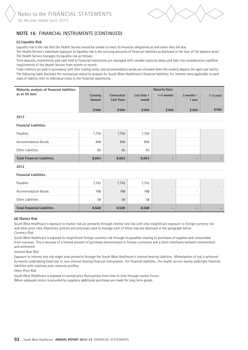

# **NOTE 16**: FINANCIAL INSTRUMENTS (continued)

#### **(c) Liquidity Risk**

Liquidity risk is the risk that the Health Service would be unable to meet its financial obligations as and when they fall due.

The Health Service's maximum exposure to liquidity risk is the carrying amounts of financial liabilities as disclosed in the face of the balance sheet. The Health Service manages its liquidity risk as follows:

Term deposits, investments and cash held at financial institutions are managed with variable maturity dates and take into consideration cashflow requirements of the Health Service from month ot month.

Trade creditors are paid in accordance with their trading terms; and accommodation bonds are refunded when the resident departs the aged care facility. The following table discloses the contractual maturity analysis for South West Healthcare's financial liabilities. For interest rates applicable to each class of liability refer to individual notes to the financial statements.

| Maturity analysis of financial liabilities |                    |                           |                      | <b>Maturity Dates</b> |                          |             |
|--------------------------------------------|--------------------|---------------------------|----------------------|-----------------------|--------------------------|-------------|
| as at 30 June                              | Carrying<br>Amount | Contractual<br>Cash Flows | Less than 1<br>month | $1-3$ months          | $3$ months $-$<br>1 year | $1-5$ years |
|                                            | \$'000             | \$'000                    | \$'000               | \$'000                | \$'000                   | \$'000      |

#### **2013**

#### **Financial Liabilities**

| Payables                           | 7,750 | 7,750 | 7,750 |                          |   |  |
|------------------------------------|-------|-------|-------|--------------------------|---|--|
| <b>Accommodation Bonds</b>         | 848   | 848   | 848   |                          |   |  |
| Other Liabilities                  | 65    | 65    | 65    |                          |   |  |
| <b>Total Financial Liabilities</b> | 8,663 | 8,663 | 8,663 | $\overline{\phantom{0}}$ | - |  |

#### **2012**

#### **Financial Liabilities**

| Payables                           | 7,742 | 7,742 | 7,742 |                          |   |  |
|------------------------------------|-------|-------|-------|--------------------------|---|--|
| Accommodation Bonds                | 768   | 768   | 768   | $\overline{\phantom{0}}$ | - |  |
| Other Liabilities                  | 58    | 58    | 58    |                          |   |  |
| <b>Total Financial Liabilities</b> | 8,568 | 8,568 | 8,568 | $\overline{\phantom{0}}$ | - |  |

#### **(d) Market Risk**

Ī

South West Healthcare's exposure to market risk are primarily through interest rate risk with only insignificant exposure to foreign currency risk and other price risks. Objectives, policies and processes used to manage each of these risks are disclosed in the paragraph below. *Currency Risk* 

South West Healthcare is exposed to insignificant foreign currency risk through its payables relating to purchases of supplies and consumable from overseas. This is because of a limited amount of purchases denominated in foreign currencies and a short timeframe between commitment and settlement

#### *Interest Rate Risk*

Exposure to interest rate risk might arise primarily through the South West Healthcare's interest bearing liabilities. Minimisation of risk is achieved by mainly undertaking fixed rate or non-interest bearing financial instruments. For financial liabilities , the health service mainly undertake financial liabilities with relatively even maturity profiles.

*Other Price Risk*

South West Healthcare is exposed to normal price fluctuations from time to time through market forces.

Where adequate notice is provided by suppliers, additional purchases are made for long term goods.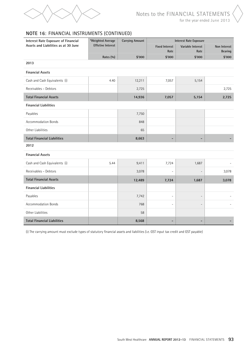

# for the year ended June 2013

# **NOTE 16**: FINANCIAL INSTRUMENTS (continued)

| Interest Rate Exposure of Financial  | *Weighted Average         | <b>Carrying Amount</b> |                               | <b>Interest Rate Exposure</b> |                                |
|--------------------------------------|---------------------------|------------------------|-------------------------------|-------------------------------|--------------------------------|
| Assets and Liabilities as at 30 June | <b>Effictive Interest</b> |                        | <b>Fixed Interest</b><br>Rate | Variable Interest<br>Rate     | Non Interest<br><b>Bearing</b> |
|                                      | Rates (%)                 | \$'000                 | \$'000                        | \$'000                        | \$'000                         |
| 2013                                 |                           |                        |                               |                               |                                |
| <b>Financial Assets</b>              |                           |                        |                               |                               |                                |
| Cash and Cash Equivalents (i)        | 4.40                      | 12,211                 | 7,057                         | 5,154                         |                                |
| Receivables - Debtors                |                           | 2,725                  |                               |                               | 2,725                          |
| <b>Total Financial Assets</b>        |                           | 14,936                 | 7,057                         | 5,154                         | 2,725                          |
| <b>Financial Liabilities</b>         |                           |                        |                               |                               |                                |
| Payables                             |                           | 7,750                  |                               |                               |                                |
| Accommodation Bonds                  |                           | 848                    |                               |                               |                                |
| Other Liabilities                    |                           | 65                     |                               |                               |                                |
| <b>Total Financial Liabilities</b>   |                           | 8,663                  |                               | -                             |                                |
| 2012                                 |                           |                        |                               |                               |                                |
| <b>Financial Assets</b>              |                           |                        |                               |                               |                                |
| Cash and Cash Equivalents (i)        | 5.44                      | 9,411                  | 7,724                         | 1,687                         |                                |
| Receivables - Debtors                |                           | 3,078                  |                               |                               | 3,078                          |
| <b>Total Financial Assets</b>        |                           | 12,489                 | 7,724                         | 1,687                         | 3,078                          |
| <b>Financial Liabilities</b>         |                           |                        |                               |                               |                                |
| Payables                             |                           | 7,742                  | $\overline{a}$                | $\overline{a}$                |                                |
| <b>Accommodation Bonds</b>           |                           | 768                    | $\overline{a}$                |                               |                                |
| Other Liabilities                    |                           | 58                     |                               |                               |                                |
| <b>Total Financial Liabilities</b>   |                           | 8,568                  |                               | $\blacksquare$                |                                |

(i) The carrying amount must exclude types of statutory financial assets and liabilities (i.e. GST input tax credit and GST payable)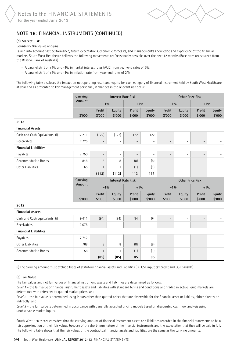

# **NOTE 16**: FINANCIAL INSTRUMENTS (continued)

#### **(d) Market Risk**

#### *Sensitivity Disclosure Analysis*

Taking into account past performance, future expectations, economic forecasts, and management's knowledge and experience of the financial markets, South West Healthcare believes the following movements are 'reasonably possible' over the next 12 months (Base rates are sourced from the Reserve Bank of Australia)

- − A parallel shift of +1% and -1% in market interest rates (AUD) from year-end rates of 6%;
- − A parallel shift of +1% and -1% in inflation rate from year-end rates of 2%

The following table discloses the impact on net operating result and equity for each category of financial instrument held by South West Healthcare at year end as presented to key management personnel, if changes in the relevant risk occur.

|                               | Carrying |                          | <b>Interest Rate Risk</b> |                          |                          |                          | <b>Other Price Risk</b> |                          |                  |
|-------------------------------|----------|--------------------------|---------------------------|--------------------------|--------------------------|--------------------------|-------------------------|--------------------------|------------------|
|                               | Amount   | $-1\%$                   |                           | $+1\%$                   |                          | $-1\%$                   |                         | $+1\%$                   |                  |
|                               | \$'000   | Profit<br>\$'000         | Equity<br>\$'000          | Profit<br>\$'000         | Equity<br>\$'000         | Profit<br>\$'000         | Equity<br>\$'000        | Profit<br>\$'000         | Equity<br>\$'000 |
| 2013                          |          |                          |                           |                          |                          |                          |                         |                          |                  |
| <b>Financial Assets</b>       |          |                          |                           |                          |                          |                          |                         |                          |                  |
| Cash and Cash Equivalents (i) | 12,211   | (122)                    | (122)                     | 122                      | 122                      | $\overline{\phantom{a}}$ | $\overline{a}$          | $\overline{\phantom{a}}$ |                  |
| Receivables                   | 2,725    | $\overline{\phantom{a}}$ | $\overline{\phantom{a}}$  | $\overline{\phantom{a}}$ | $\overline{\phantom{a}}$ | $\qquad \qquad -$        | $\overline{a}$          | $\qquad \qquad -$        |                  |
| <b>Financial Liabilities</b>  |          |                          |                           |                          |                          |                          |                         |                          |                  |
| Payables                      | 7,750    | $\overline{\phantom{a}}$ | $\overline{\phantom{a}}$  | $\overline{\phantom{a}}$ | $\overline{\phantom{a}}$ | $\overline{\phantom{m}}$ | $\overline{a}$          | $\qquad \qquad -$        |                  |
| <b>Accommodation Bonds</b>    | 848      | 8                        | 8                         | (8)                      | (8)                      | $\overline{\phantom{m}}$ | $\overline{a}$          | $\overline{a}$           |                  |
| Other Liabilities             | 65       | $\mathbf{1}$             | $\mathbf{1}$              | (1)                      | (1)                      |                          |                         |                          |                  |
|                               |          | (113)                    | (113)                     | 113                      | 113                      |                          |                         |                          |                  |
|                               | Carrying |                          | <b>Interest Rate Risk</b> |                          |                          |                          | <b>Other Price Risk</b> |                          |                  |
|                               | Amount   | $-1\%$                   |                           | $+1\%$                   |                          | $-1\%$                   |                         | $+1\%$                   |                  |
|                               |          | Profit                   | Equity                    | Profit                   | Equity                   | Profit                   | Equity                  | Profit                   | Equity           |
|                               | \$'000   | \$'000                   | \$'000                    | \$'000                   | \$'000                   | \$'000                   | \$'000                  | \$'000                   | \$'000           |
| 2012                          |          |                          |                           |                          |                          |                          |                         |                          |                  |
| <b>Financial Assets</b>       |          |                          |                           |                          |                          |                          |                         |                          |                  |
| Cash and Cash Equivalents (i) | 9,411    | (94)                     | (94)                      | 94                       | 94                       | $\overline{\phantom{a}}$ | $\overline{a}$          | $\overline{a}$           |                  |
| Receivables                   | 3,078    | $\overline{\phantom{a}}$ | $\overline{\phantom{a}}$  | $\overline{\phantom{a}}$ | $\overline{\phantom{a}}$ | $\overline{\phantom{a}}$ | $\overline{a}$          | $\qquad \qquad -$        |                  |
| <b>Financial Liabilities</b>  |          |                          |                           |                          |                          |                          |                         |                          |                  |
| Payables                      | 7,742    | $\overline{\phantom{a}}$ | $\overline{\phantom{a}}$  | $\overline{\phantom{a}}$ | $\overline{\phantom{a}}$ | $\overline{\phantom{m}}$ | $\overline{a}$          | $\qquad \qquad -$        |                  |
| Other Liabilities             | 768      | 8                        | 8                         | (8)                      | (8)                      |                          |                         |                          |                  |
| <b>Accommodation Bonds</b>    | 58       | $\mathbf{1}$             | $\mathbf{1}$              | (1)                      | (1)                      | $\overline{\phantom{a}}$ | $\overline{a}$          | $\qquad \qquad -$        |                  |
|                               |          | (85)                     | (85)                      | 85                       | 85                       |                          |                         |                          |                  |

(i) The carrying amount must exclude types of statutory financial assets and liabilities (i.e. GST input tax credit and GST payable)

#### **(e) Fair Value**

The fair values and net fair values of financial instrument assets and liabilities are determined as follows:

*Level 1* – the fair value of financial instrument assets and liabilities with standard terms and conditions and traded in active liquid markets are determined with reference to quoted market prices; and

*Level 2* – the fair value is determined using inputs other than quoted prices that are observable for the financial asset or liability, either directly or indirectly; and

*Level 3* – the fair value is determined in accordance with generally accepted pricing models based on discounted cash flow analysis using unobservable market inputs.

South West Healthcare considers that the carrying amount of financial instrument assets and liabilities recorded in the financial statements to be a fair approximation of their fair values, because of the short-term nature of the financial instruments and the expectation that they will be paid in full. The following table shows that the fair values of the contractual financial assets and liabilities are the same as the carrying amounts.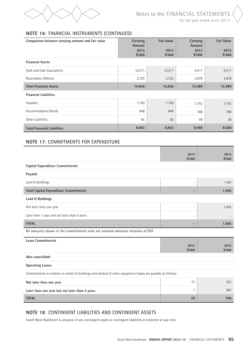

# **NOTE 16**: FINANCIAL INSTRUMENTS (continued)

| Comparison between carrying amount and fair value | Carrying<br>Amount | <b>Fair Value</b> | Carrying<br>Amount | <b>Fair Value</b> |
|---------------------------------------------------|--------------------|-------------------|--------------------|-------------------|
|                                                   | 2013<br>\$'000     | 2013<br>\$'000    | 2012<br>\$'000     | 2012<br>\$'000    |
| <b>Financial Assets</b>                           |                    |                   |                    |                   |
| Cash and Cash Equivalents                         | 12,211             | 12,211            | 9,411              | 9,411             |
| Receivables-Debtors                               | 2,725              | 2,725             | 3,078              | 3,078             |
| <b>Total Financial Assets</b>                     | 14,936             | 14,936            | 12,489             | 12,489            |
| <b>Financial Liabilities</b>                      |                    |                   |                    |                   |
| Payables                                          | 7,750              | 7,750             | 7,742              | 7,742             |
| <b>Accommodation Bonds</b>                        | 848                | 848               | 768                | 768               |
| Other Liabilities                                 | 65                 | 65                | 58                 | 58                |
| <b>Total Financial Liabilities</b>                | 8,663              | 8,663             | 8,568              | 8,568             |

# **NOTE 17**: commitments for expenditure

|                                                                                                             | 2013                     | 2012           |
|-------------------------------------------------------------------------------------------------------------|--------------------------|----------------|
|                                                                                                             | \$'000                   | \$'000         |
| <b>Capital Expenditure Commitments</b>                                                                      |                          |                |
| Payable                                                                                                     |                          |                |
| Land & Buildings                                                                                            | $\overline{a}$           | 1,405          |
| <b>Total Capital Expenditure Commitments</b>                                                                | -                        | 1,405          |
| Land & Buildings                                                                                            |                          |                |
| Not later than one year                                                                                     | $\overline{\phantom{a}}$ | 1,405          |
| Later than 1 year and not later than 5 years                                                                | $\overline{\phantom{a}}$ |                |
| <b>TOTAL</b>                                                                                                | $\overline{\phantom{a}}$ | 1,405          |
| All amounts shown in the commitments note are nominal amounts inclusive of GST.                             |                          |                |
| <b>Lease Commitments</b>                                                                                    |                          |                |
|                                                                                                             | 2013<br>\$'000           | 2012<br>\$'000 |
| Non-cancellable                                                                                             |                          |                |
| <b>Operating Leases</b>                                                                                     |                          |                |
| Commitments in relation to rental of buildings and medical & other equipment leases are payable as follows: |                          |                |
| Not later than one year                                                                                     | 72                       | 322            |
| Later than one year but not later than 5 years                                                              | 7                        | 387            |

**TOTAL 79 709** 

# **NOTE 18**: CONTINGENT LIABILITIES AND CONTINGENT ASSETS

South West Healthcare is unaware of any contingent assets or contingent liabilities in existence at year end.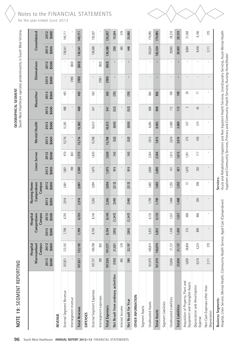# NOTE 19: SEGMENT REPORTING

South West Healthcare operates predominantly in South West Victoria. South West Healthcare operates predominantly in South West Victoria.GEOGRAPHICAL SEGMENT **GEOGRAPHICAL SEGMENT**

| NOTE 19: SEGMENT REPORTING                                            |               |                                   |               |                                  |                |                                      |               |                 |               |               |               | South West Healthcare operates predominantly in South West Victoria |                |                |               |               |
|-----------------------------------------------------------------------|---------------|-----------------------------------|---------------|----------------------------------|----------------|--------------------------------------|---------------|-----------------|---------------|---------------|---------------|---------------------------------------------------------------------|----------------|----------------|---------------|---------------|
|                                                                       |               | Campus<br>Warrnambool<br>Hospital |               | Campus<br>Camperdown<br>Hospital |                | Campus<br>Nursing Home<br>Camperdown |               | Linen Servce    |               | Mental Health |               | Macarthur                                                           |                | Eliminations   |               | Consolidated  |
|                                                                       | \$000<br>2013 | 2012<br>\$000                     | \$000<br>2013 | 2012<br>\$000                    | 2013<br>\$000  | 2012<br>\$000                        | 2013<br>\$000 | 2012<br>\$000   | 2013<br>\$000 | \$000<br>2012 | \$000<br>2013 | 2012<br>\$000                                                       | 2013<br>\$000  | \$000<br>2012  | 2013<br>\$000 | \$000<br>2012 |
| REVENUE                                                               |               |                                   |               |                                  |                |                                      |               |                 |               |               |               |                                                                     |                |                |               |               |
| External Segment Revenue                                              | 107,821       | 123,192                           | 7,799         | 6,793                            | 2,916          | 2,881                                | 801           | 970             | 15,716        | 15,382        | 488           | 493                                                                 | ı              | $\,$           | 136,541       | 149,711       |
| Intersegment revenue                                                  |               |                                   |               |                                  |                |                                      | 789           | $803\,$         | $\mathbf{I}$  |               | ¢             |                                                                     | $(789)$        | (803)          |               |               |
| <b>Total Revenue</b>                                                  | 107,821       | 123,192                           | 7,799         | 6,793                            | 2,916          | 2,881                                | 2,590         | 1,773           | 15,716        | 15,382        | 488           | 493                                                                 | (789)          | (803)          | 136,541       | 149,711       |
| <b>EXPENSES</b>                                                       |               |                                   |               |                                  |                |                                      |               |                 |               |               |               |                                                                     |                |                |               |               |
| External Segment Expenses                                             | 107,137       | 100,768                           | 8,194         | 8,140                            | 3,265          | 3,094                                | 1,675         | 1,630           | 15,768        | 16,012        | 541           | 563                                                                 | $\mathbf{I}$   | $\mathbf{I}$   | 136,580       | 130,207       |
| Intersegment expenses                                                 | 789           | 803                               |               |                                  |                |                                      |               |                 |               |               | I.            |                                                                     | (789)          | (803)          |               |               |
| <b>Total Expenses</b>                                                 | 107,926       | 101,571                           | 8,194         | 8,140                            | 3,265          | 3,094                                | 1,675         | 1,630           | 15,768        | 16,012        | 541           | 563                                                                 | (789)          | (803)          | 136,580       | 130,207       |
| Net Result from ordinary activitites                                  | (105)         | 21,621                            | (395)         | (1, 347)                         | (349)          | (213)                                | 915           | 143             | $[52]$        | (630)         | $\boxed{53}$  | (70)                                                                | $\mathbf{I}$   | $\mathbf{I}$   | (39)          | 19,504        |
| Interest Income                                                       | 485           | 576                               |               |                                  |                |                                      | $\mathbf{I}$  |                 |               |               |               |                                                                     | T.             |                | 485           | 576           |
| Net Result for Year                                                   | 380           | 22,197                            | (395)         | (1, 347)                         | (349)          | (213)                                | 915           | 143             | $[52]$        | (630)         | $[53]$        | [70]                                                                | $\blacksquare$ | $\blacksquare$ | 446           | 20,080        |
| OTHER INFORMATION                                                     |               |                                   |               |                                  |                |                                      |               |                 |               |               |               |                                                                     |                |                |               |               |
| Segment Assets                                                        |               |                                   |               |                                  |                |                                      |               |                 |               |               |               |                                                                     |                |                |               |               |
| Unallocated Assets                                                    | 161,970       | 160,874                           | 5,832         | 6,135                            | 1,799          | 1,682                                | 3,800         | 2,364           | 7,815         | 8,065         | 808           | 865                                                                 | $\mathbf{I}$   |                | 182,024       | 179,985       |
| <b>Total Assets</b>                                                   | 161,970       | 160,874                           | 5,832         | 6,135                            | 1,799          | 1,682                                | 3,800         | 2,364           | 7,815         | 8,065         | 808           | 865                                                                 | $\blacksquare$ | $\blacksquare$ | 182,024       | 179,985       |
| Segment Liabilities                                                   |               |                                   |               |                                  |                |                                      |               |                 |               |               |               |                                                                     |                |                |               |               |
| Unallocated Liabilities                                               | 23,856        | 21,137                            | 1,430         | 1,557                            | 1,468          | 1,292                                | 421           | 1,615           | 2,616         | 2,600         | 112           | 109                                                                 | $\mathbf{I}$   |                | 29,903        | 28,310        |
| <b>Total Liabilities</b>                                              | 23,856        | 21,137                            | 1,430         | 1,557                            | 1,468          | 1,292                                | 421           | 1,615           | 2,616         | 2,600         | 112           | 109                                                                 | $\blacksquare$ | $\blacksquare$ | 29,903        | 28,310        |
| Acquisition of Property, Plant and<br>Equipment and Intangible Assets | 5,839         | 28,859                            | 215           | 696                              | $\blacksquare$ | 5                                    | ,670          | 1,391           | 275           | 537           | 5             | 29                                                                  | $\mathbf{I}$   | L.             | 8,004         | 31,569        |
| Depreciation and Amortisation<br>Expense                              | 6,510         | 4,224                             | 899           | 866                              | 284            | 308                                  | 262           | $\overline{11}$ | 430           | 574           | 65            | $\overline{1}$                                                      | $\mathbf{I}$   | $\mathbf{I}$   | 8,450         | 6,160         |
| Non Cash Expenses other than<br>Depreciaton                           | 2,111         | 270                               |               |                                  | $\mathbf{I}$   |                                      |               |                 | $\mathbf{I}$  | $\mathbf I$   | $\mathbf I$   |                                                                     |                |                | 2,111         | 270           |

**Business Segments:**<br>Hospital, Linen Service, Mental Health, Community Health Service, Aged Care (Camperdown) Hospital, Linen Service, Mental Health, Community Health Service, Aged Care (Camperdown)

**Business Segments:**

# Notes to the FINANCIAL STATEMENTS for the year ended June 2013

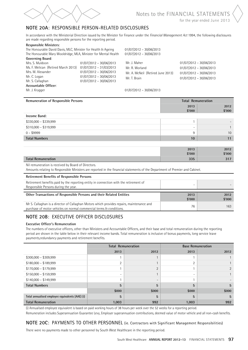

for the year ended June 2013

# **NOTE 20a**: RESPONSIBLE PERSON-RELATED DISCLOSURES

In accordance with the Ministerial Direction issued by the Minister for Finance under the *Financial Management Act* 1994, the following disclosures are made regarding responsible persons for the reporting period.

#### **Responsible Ministers**:

The Honourable David Davis, MLC, Minister for Health & Ageing 01/07/2012 – 30/06/2013 The Honourable Mary Wooldridge, MLA, Minister for Mental Health 01/07/2012 – 30/06/2013

**Governing Board**: Mrs. S. Muldoon 01/07/2012 – 30/06/2013 Ms. F. Melican (Retired March 2013) 01/07/2012 – 31/03/2013 Mrs. M. Alexander 01/07/2012 – 30/06/2013<br>Mr. C. Logan 01/07/2012 – 30/06/2013  $01/07/2012 - 30/06/2013$ Mr. S. Callaghan 01/07/2012 – 30/06/2013 **Accountable Officer**:

Mr. J. Maher 01/07/2012 – 30/06/2013 Mr. R. Worland 01/07/2012 – 30/06/2013 Mr. A. McNeil (Retired June 2013) 01/07/2012 – 30/06/2013 Mr. T. Brain 01/07/2012 – 30/06/2013

#### Mr. J. Krygger 01/07/2012 – 30/06/2013

| Remuneration of Responsible Persons |                          | <b>Total Remuneration</b> |
|-------------------------------------|--------------------------|---------------------------|
|                                     | 2013                     | 2012                      |
|                                     | \$'000                   | \$'000                    |
| Income Band:                        |                          |                           |
| $$330,000 - $339,999$               |                          | -                         |
| $$310,000 - $319,999$               | $\overline{\phantom{0}}$ |                           |
| $0 - $9999$                         | 9                        | 10                        |
| <b>Total Numbers</b>                | 10                       | 11                        |
|                                     |                          |                           |
|                                     | 2013                     | 2012                      |
|                                     | \$'000                   | \$'000                    |
| <b>Total Remuneration</b>           | 335                      | 317                       |

Nil remuneration is received by Board of Directors.

Amounts relating to Responsible Ministers are reported in the financial statements of the Department of Premier and Cabinet.

| <b>Retirement Benefits of Responsible Persons</b>                                                                                                                |                          |                |
|------------------------------------------------------------------------------------------------------------------------------------------------------------------|--------------------------|----------------|
| Retirement benefits paid by the reporting entity in connection with the retirement of<br>Responsible Persons during the year.                                    | $\overline{\phantom{0}}$ |                |
|                                                                                                                                                                  |                          |                |
| Other Transactions of Responsible Persons and their Related Entities                                                                                             | 2013<br>\$'000           | 2012<br>\$'000 |
| Mr S. Callaghan is a director of Callaghan Motors which provides repairs, maintenance and<br>purchase of motor vehicles on normal commercial terms & conditions. | 76                       | 163            |

# **NOTE 20B**: EXECUTIVE OFFICER DISCLOSURES

#### **Executive Officer's Remuneration**

The numbers of executive officers, other than Ministers and Accountable Officers, and their base and total remuneration during the reporting period are shown in the table below in their relevant income bands. Total remuneration is inclusive of bonus payments, long service leave payments,redundancy payments and retirement benefits.

|                                                 |       | <b>Total Remuneration</b> |            | <b>Base Remuneration</b> |
|-------------------------------------------------|-------|---------------------------|------------|--------------------------|
|                                                 | 2013  | 2012                      | 2013       | 2012                     |
| $$300,000 - $309,999$                           |       |                           |            |                          |
| $$180,000 - $189,999$                           | ◠     |                           | $\sqrt{2}$ |                          |
| $$170,000 - $179,999$                           |       | $\Omega$                  |            |                          |
| $$150,000 - $159,999$                           |       |                           |            |                          |
| $$140,000 - $149,999$                           |       | $\overline{\phantom{0}}$  |            |                          |
| <b>Total Numbers</b>                            | 5     | 5                         | 5          | 5                        |
|                                                 | \$000 | \$000                     | \$000      | \$000                    |
| Total annualised employee equivalents (AAE) (i) | 5     | 5                         | 5          | 5                        |
| <b>Total Remuneration</b>                       | 1,003 | 992                       | 1,003      | 992                      |

(i) Annualised employee equivalent is based on paid working hours of 38 hours per week over the 52 weeks for a reporting period.

Remuneration includes Superannuation Guarantee Levy, Employer superannuation contributions, deemed value of motor vehicle and all non-cash benefits.

# NOTE 20C: PAYMENTS TO OTHER PERSONNEL (ie. Contractors with Significant Management Responsibilities)

There were no payments made to other personnel by South West Healthcare in the reporting period.